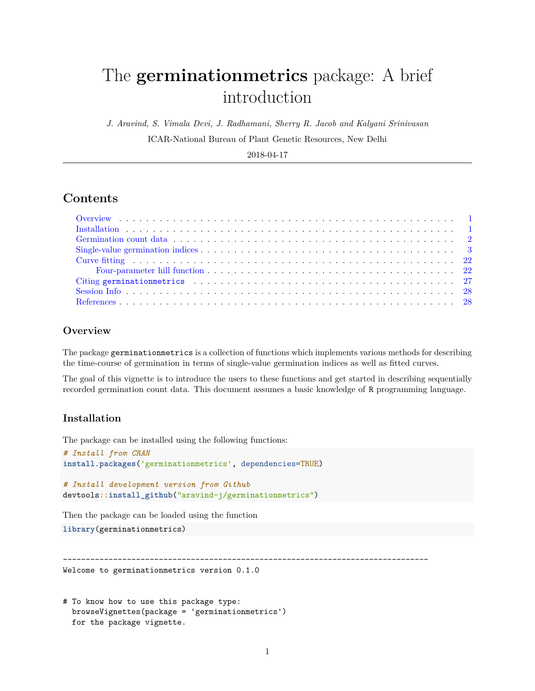# The **germinationmetrics** package: A brief introduction

*J. Aravind, S. Vimala Devi, J. Radhamani, Sherry R. Jacob and Kalyani Srinivasan*

ICAR-National Bureau of Plant Genetic Resources, New Delhi

2018-04-17

# **Contents**

# <span id="page-0-0"></span>**Overview**

The package germinationmetrics is a collection of functions which implements various methods for describing the time-course of germination in terms of single-value germination indices as well as fitted curves.

The goal of this vignette is to introduce the users to these functions and get started in describing sequentially recorded germination count data. This document assumes a basic knowledge of R programming language.

# <span id="page-0-1"></span>**Installation**

The package can be installed using the following functions:

```
# Install from CRAN
install.packages('germinationmetrics', dependencies=TRUE)
```

```
# Install development version from Github
devtools::install_github("aravind-j/germinationmetrics")
```
Then the package can be loaded using the function

**library**(germinationmetrics)

```
--------------------------------------------------------------------------------
```
Welcome to germinationmetrics version 0.1.0

```
# To know how to use this package type:
 browseVignettes(package = 'germinationmetrics')
  for the package vignette.
```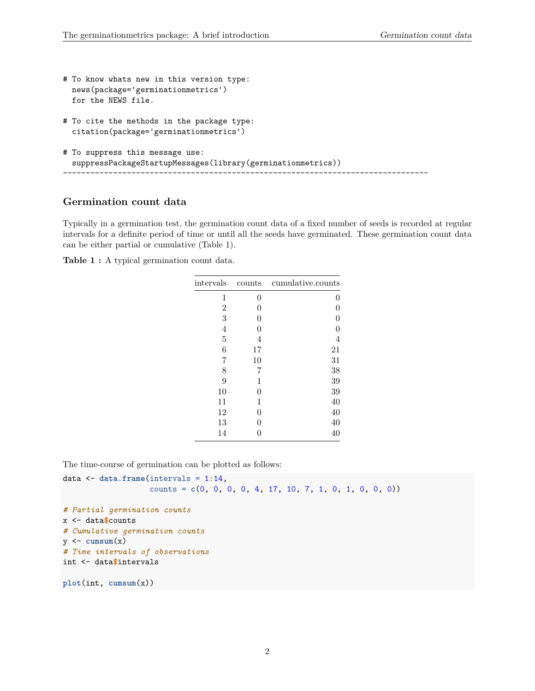```
# To know whats new in this version type:
  news(package='germinationmetrics')
  for the NEWS file.
# To cite the methods in the package type:
  citation(package='germinationmetrics')
# To suppress this message use:
  suppressPackageStartupMessages(library(germinationmetrics))
           --------------------------------------------------------------------------------
```
# <span id="page-1-0"></span>**Germination count data**

Typically in a germination test, the germination count data of a fixed number of seeds is recorded at regular intervals for a definite period of time or until all the seeds have germinated. These germination count data can be either partial or cumulative (Table 1).

**Table 1 :** A typical germination count data.

| intervals      | counts | cumulative.counts |
|----------------|--------|-------------------|
| 1              | 0      | 0                 |
| $\overline{2}$ | 0      | 0                 |
| 3              | 0      | $\boldsymbol{0}$  |
| $\overline{4}$ | 0      | $\boldsymbol{0}$  |
| $\overline{5}$ | 4      | $\overline{4}$    |
| 6              | 17     | 21                |
| 7              | 10     | 31                |
| 8              | 7      | 38                |
| 9              | 1      | 39                |
| 10             | 0      | 39                |
| 11             | 1      | 40                |
| 12             | 0      | 40                |
| 13             | 0      | 40                |
| 14             | 0      | 40                |

The time-course of germination can be plotted as follows:

```
data <- data.frame(intervals = 1:14,
                    counts = c(0, 0, 0, 0, 4, 17, 10, 7, 1, 0, 1, 0, 0, 0))
# Partial germination counts
x <- data$counts
# Cumulative germination counts
y \leftarrow \text{cumsum}(x)# Time intervals of observations
int <- data$intervals
plot(int, cumsum(x))
```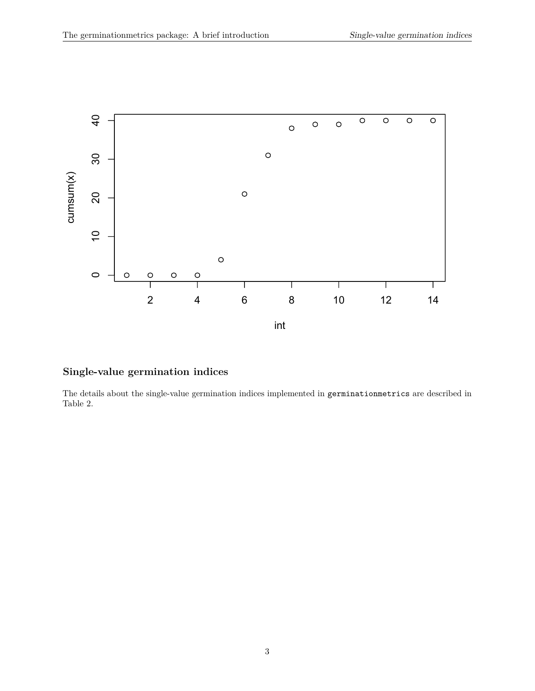

# <span id="page-2-0"></span>**Single-value germination indices**

The details about the single-value germination indices implemented in germinationmetrics are described in Table 2.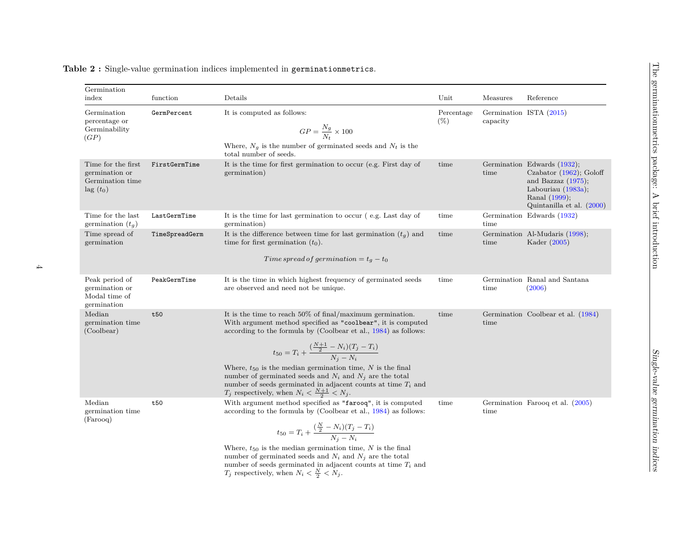| Germination<br>index                                                          | function       | Details                                                                                                                                                                                                                                                                                                                                                                                                                                                                                                                                   | Unit                 | Measures | Reference                                                                                                                                                 |
|-------------------------------------------------------------------------------|----------------|-------------------------------------------------------------------------------------------------------------------------------------------------------------------------------------------------------------------------------------------------------------------------------------------------------------------------------------------------------------------------------------------------------------------------------------------------------------------------------------------------------------------------------------------|----------------------|----------|-----------------------------------------------------------------------------------------------------------------------------------------------------------|
| Germination<br>percentage or<br>Germinability<br>(GP)                         | GermPercent    | It is computed as follows:<br>$GP = \frac{N_g}{N_c} \times 100$<br>Where, $N_g$ is the number of germinated seeds and $N_t$ is the<br>total number of seeds.                                                                                                                                                                                                                                                                                                                                                                              | Percentage<br>$(\%)$ | capacity | Germination ISTA (2015)                                                                                                                                   |
| Time for the first<br>germination or<br>Germination time<br>$\text{lag}(t_0)$ | FirstGermTime  | It is the time for first germination to occur (e.g. First day of<br>germination)                                                                                                                                                                                                                                                                                                                                                                                                                                                          | time                 | time     | Germination Edwards (1932);<br>Czabator $(1962)$ ; Goloff<br>and Bazzaz $(1975)$ ;<br>Labouriau $(1983a)$ ;<br>Ranal (1999);<br>Quintanilla et al. (2000) |
| Time for the last<br>germination $(t_q)$                                      | LastGermTime   | It is the time for last germination to occur (e.g. Last day of<br>germination)                                                                                                                                                                                                                                                                                                                                                                                                                                                            | time                 | time     | Germination Edwards (1932)                                                                                                                                |
| Time spread of<br>germination                                                 | TimeSpreadGerm | It is the difference between time for last germination $(t_g)$ and<br>time for first germination $(t_0)$ .                                                                                                                                                                                                                                                                                                                                                                                                                                | time                 | time     | Germination Al-Mudaris (1998);<br>Kader (2005)                                                                                                            |
|                                                                               |                | Time spread of germination = $t_g - t_0$                                                                                                                                                                                                                                                                                                                                                                                                                                                                                                  |                      |          |                                                                                                                                                           |
| Peak period of<br>germination or<br>Modal time of<br>germination              | PeakGermTime   | It is the time in which highest frequency of germinated seeds<br>are observed and need not be unique.                                                                                                                                                                                                                                                                                                                                                                                                                                     | time                 | time     | Germination Ranal and Santana<br>(2006)                                                                                                                   |
| Median<br>germination time<br>(Coolbear)                                      | t50            | It is the time to reach $50\%$ of final/maximum germination.<br>With argument method specified as "coolbear", it is computed<br>according to the formula by (Coolbear et al., $1984$ ) as follows:<br>$t_{50} = T_i + \frac{( \frac{N+1}{2} - N_i)(T_j - T_i)}{N_i - N_i}$<br>Where, $t_{50}$ is the median germination time, N is the final<br>number of germinated seeds and $N_i$ and $N_j$ are the total<br>number of seeds germinated in adjacent counts at time $T_i$ and<br>$T_j$ respectively, when $N_i < \frac{N+1}{2} < N_j$ . | time                 | time     | Germination Coolbear et al. (1984)                                                                                                                        |
| Median<br>germination time<br>(Farooq)                                        | t50            | With argument method specified as "farooq", it is computed<br>according to the formula by (Coolbear et al., $1984$ ) as follows:<br>$t_{50} = T_i + \frac{(\frac{N}{2} - N_i)(T_j - T_i)}{N_i - N_i}$<br>Where, $t_{50}$ is the median germination time, N is the final<br>number of germinated seeds and $N_i$ and $N_j$ are the total<br>number of seeds germinated in adjacent counts at time $T_i$ and<br>$T_j$ respectively, when $N_i < \frac{N}{2} < N_j$ .                                                                        | time                 | time     | Germination Farooq et al. (2005)                                                                                                                          |

# **Table 2 :** Single-value germination indices implemented in germinationmetrics.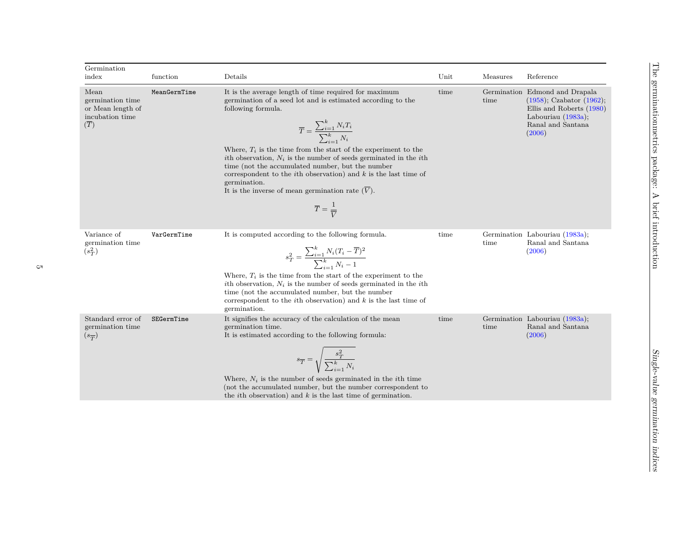| Germination<br>index                                                    | function     | Details                                                                                                                                                                                                                                                                                                                                                                                                                                                                                                                                                                                                               | Unit | Measures | Reference                                                                                                                                            |
|-------------------------------------------------------------------------|--------------|-----------------------------------------------------------------------------------------------------------------------------------------------------------------------------------------------------------------------------------------------------------------------------------------------------------------------------------------------------------------------------------------------------------------------------------------------------------------------------------------------------------------------------------------------------------------------------------------------------------------------|------|----------|------------------------------------------------------------------------------------------------------------------------------------------------------|
| Mean<br>germination time<br>or Mean length of<br>incubation time<br>(T) | MeanGermTime | It is the average length of time required for maximum<br>germination of a seed lot and is estimated according to the<br>following formula.<br>$\overline{T} = \frac{\sum_{i=1}^{k} N_i T_i}{\sum_{i=1}^{k} N_i}$<br>Where, $T_i$ is the time from the start of the experiment to the<br>ith observation, $N_i$ is the number of seeds germinated in the <i>i</i> th<br>time (not the accumulated number, but the number<br>correspondent to the <i>i</i> th observation) and $k$ is the last time of<br>germination.<br>It is the inverse of mean germination rate $(V)$ .<br>$\overline{T} = \frac{1}{\overline{V}}$ | time | time     | Germination Edmond and Drapala<br>$(1958)$ ; Czabator $(1962)$ ;<br>Ellis and Roberts (1980)<br>Labouriau $(1983a)$ ;<br>Ranal and Santana<br>(2006) |
| Variance of<br>germination time<br>$(s_T^2)$                            | VarGermTime  | It is computed according to the following formula.<br>$s_T^2 = \frac{\sum_{i=1}^k N_i (T_i - \overline{T})^2}{\sum_{i=1}^k N_i - 1}$<br>Where, $T_i$ is the time from the start of the experiment to the<br>ith observation, $N_i$ is the number of seeds germinated in the <i>i</i> th<br>time (not the accumulated number, but the number<br>correspondent to the <i>i</i> th observation) and $k$ is the last time of<br>germination.                                                                                                                                                                              | time | time     | Germination Labouriau (1983a);<br>Ranal and Santana<br>(2006)                                                                                        |
| Standard error of<br>germination time<br>$(s_{\overline{T}})$           | SEGermTime   | It signifies the accuracy of the calculation of the mean<br>germination time.<br>It is estimated according to the following formula:<br>$s_{\overline{T}} = \sqrt{\frac{s_T^2}{\sum_{i=1}^k N_i}}$<br>Where, $N_i$ is the number of seeds germinated in the <i>i</i> th time<br>(not the accumulated number, but the number correspondent to<br>the <i>i</i> th observation) and $k$ is the last time of germination.                                                                                                                                                                                                 | time | time     | Germination Labouriau (1983a);<br>Ranal and Santana<br>(2006)                                                                                        |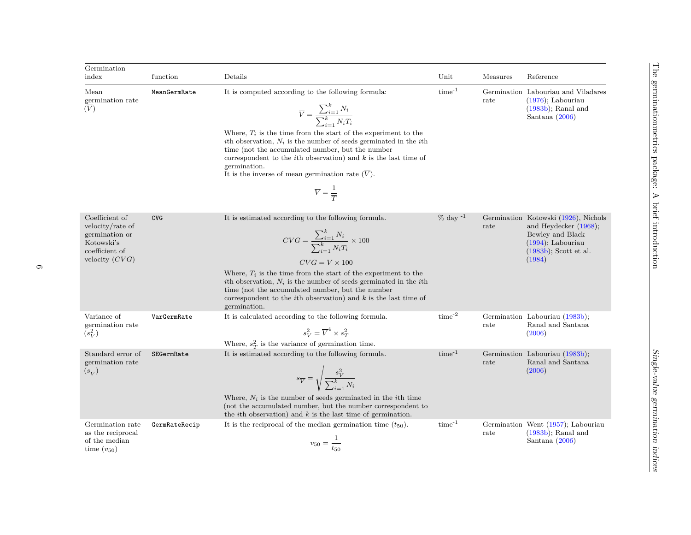| Germination<br>index                                                                                     | function      | Details                                                                                                                                                                                                                                                                                                                                                                                                                                                                                                                                  | Unit             | Measures | Reference                                                                                                                                          |
|----------------------------------------------------------------------------------------------------------|---------------|------------------------------------------------------------------------------------------------------------------------------------------------------------------------------------------------------------------------------------------------------------------------------------------------------------------------------------------------------------------------------------------------------------------------------------------------------------------------------------------------------------------------------------------|------------------|----------|----------------------------------------------------------------------------------------------------------------------------------------------------|
| Mean<br>germination rate<br>$(\overline{V})$                                                             | MeanGermRate  | It is computed according to the following formula:<br>$\overline{V} = \frac{\sum_{i=1}^{k} N_i}{\sum_{i=1}^{k} N_i T_i}$<br>Where, $T_i$ is the time from the start of the experiment to the<br>ith observation, $N_i$ is the number of seeds germinated in the <i>i</i> th<br>time (not the accumulated number, but the number<br>correspondent to the <i>i</i> th observation) and $k$ is the last time of<br>germination.<br>It is the inverse of mean germination rate $(\overline{V})$ .<br>$\overline{V} = \frac{1}{\overline{T}}$ | $time^{-1}$      | rate     | Germination Labouriau and Viladares<br>$(1976)$ ; Labouriau<br>$(1983b)$ ; Ranal and<br>Santana $(2006)$                                           |
| Coefficient of<br>velocity/rate of<br>germination or<br>Kotowski's<br>coefficient of<br>velocity $(CVG)$ | <b>CVG</b>    | It is estimated according to the following formula.<br>$CVG = \frac{\sum_{i=1}^{k} N_i}{\sum_{i=1}^{k} N_i T_i} \times 100$<br>$CVG = \overline{V} \times 100$<br>Where, $T_i$ is the time from the start of the experiment to the<br>ith observation, $N_i$ is the number of seeds germinated in the <i>i</i> th<br>time (not the accumulated number, but the number<br>correspondent to the <i>i</i> th observation) and $k$ is the last time of<br>germination.                                                                       | $\%$ day $^{-1}$ | rate     | Germination Kotowski (1926), Nichols<br>and Heydecker $(1968)$ ;<br>Bewley and Black<br>$(1994)$ , Labouriau<br>$(1983b)$ ; Scott et al.<br>(1984) |
| Variance of<br>germination rate<br>$(s_V^2)$                                                             | VarGermRate   | It is calculated according to the following formula.<br>$s_V^2 = \overline{V}^4 \times s_T^2$<br>Where, $s_T^2$ is the variance of germination time.                                                                                                                                                                                                                                                                                                                                                                                     | $time^{-2}$      | rate     | Germination Labouriau (1983b);<br>Ranal and Santana<br>(2006)                                                                                      |
| Standard error of<br>germination rate<br>$(s_{\overline{V}})$                                            | SEGermRate    | It is estimated according to the following formula.<br>$s_{\overline{V}} = \sqrt{\frac{s_V^2}{\sum_{i=1}^k N_i}}$<br>Where, $N_i$ is the number of seeds germinated in the <i>i</i> th time<br>(not the accumulated number, but the number correspondent to<br>the <i>i</i> th observation) and $k$ is the last time of germination.                                                                                                                                                                                                     | $time^{-1}$      | rate     | Germination Labouriau (1983b);<br>Ranal and Santana<br>(2006)                                                                                      |
| Germination rate<br>as the reciprocal<br>of the median<br>time $(v_{50})$                                | GermRateRecip | It is the reciprocal of the median germination time $(t_{50})$ .<br>$v_{50} = \frac{1}{t_{50}}$                                                                                                                                                                                                                                                                                                                                                                                                                                          | $time^{-1}$      | rate     | Germination Went (1957); Labouriau<br>$(1983b)$ ; Ranal and<br>Santana $(2006)$                                                                    |

D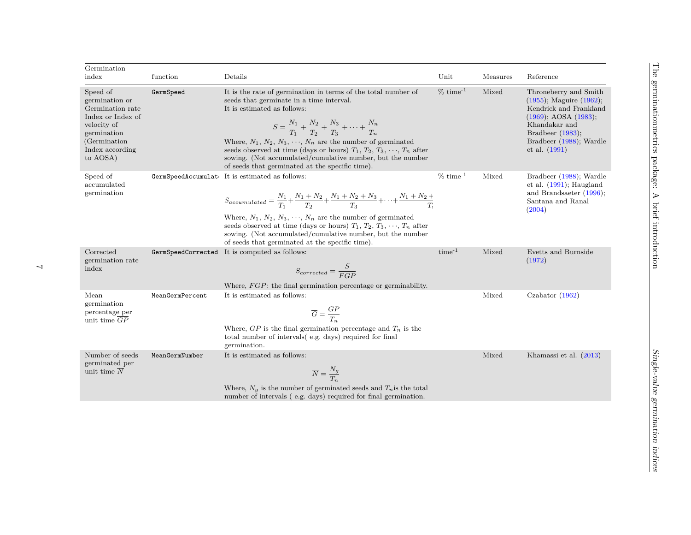| Germination                                                                                                                                       |                 |                                                                                                                                                                                                                                                                                                                                                                                                                                                                                                  |               |          |                                                                                                                                                                                                   |
|---------------------------------------------------------------------------------------------------------------------------------------------------|-----------------|--------------------------------------------------------------------------------------------------------------------------------------------------------------------------------------------------------------------------------------------------------------------------------------------------------------------------------------------------------------------------------------------------------------------------------------------------------------------------------------------------|---------------|----------|---------------------------------------------------------------------------------------------------------------------------------------------------------------------------------------------------|
| index                                                                                                                                             | function        | Details                                                                                                                                                                                                                                                                                                                                                                                                                                                                                          | Unit          | Measures | Reference                                                                                                                                                                                         |
| Speed of<br>germination or<br>Germination rate<br>Index or Index of<br>velocity of<br>germination<br>(Germination)<br>Index according<br>to AOSA) | GermSpeed       | It is the rate of germination in terms of the total number of<br>seeds that germinate in a time interval.<br>It is estimated as follows:<br>$S = \frac{N_1}{T_1} + \frac{N_2}{T_2} + \frac{N_3}{T_3} + \cdots + \frac{N_n}{T_n}$<br>Where, $N_1, N_2, N_3, \dots, N_n$ are the number of germinated<br>seeds observed at time (days or hours) $T_1, T_2, T_3, \dots, T_n$ after<br>sowing. (Not accumulated/cumulative number, but the number<br>of seeds that germinated at the specific time). | $% time^{-1}$ | Mixed    | Throneberry and Smith<br>$(1955)$ ; Maguire $(1962)$ ;<br>Kendrick and Frankland<br>$(1969)$ ; AOSA $(1983)$ ;<br>Khandakar and<br>Bradbeer $(1983);$<br>Bradbeer (1988); Wardle<br>et al. (1991) |
| Speed of<br>$\rm{accumulated}$<br>germination                                                                                                     |                 | GermSpeedAccumulat. It is estimated as follows:<br>$S_{accumulated} = \frac{N_1}{T_1} + \frac{N_1 + N_2}{T_2} + \frac{N_1 + N_2 + N_3}{T_3} + \dots + \frac{N_1 + N_2 + N_3}{T_3}$<br>Where, $N_1, N_2, N_3, \dots, N_n$ are the number of germinated<br>seeds observed at time (days or hours) $T_1, T_2, T_3, \dots, T_n$ after<br>sowing. (Not accumulated/cumulative number, but the number<br>of seeds that germinated at the specific time).                                               | $%time^{-1}$  | Mixed    | Bradbeer (1988); Wardle<br>et al. $(1991)$ ; Haugland<br>and Brandsaeter (1996);<br>Santana and Ranal<br>(2004)                                                                                   |
| Corrected<br>germination rate<br>index                                                                                                            |                 | GermSpeedCorrected It is computed as follows:<br>$S_{corrected} = \frac{S}{EGP}$<br>Where, <i>FGP</i> : the final germination percentage or germinability.                                                                                                                                                                                                                                                                                                                                       | $time^{-1}$   | Mixed    | Evetts and Burnside<br>(1972)                                                                                                                                                                     |
| Mean<br>germination<br>percentage per<br>unit time $\overline{GP}$                                                                                | MeanGermPercent | It is estimated as follows:<br>$\overline{G} = \frac{GP}{T_n}$<br>Where, $GP$ is the final germination percentage and $T_n$ is the<br>total number of intervals (e.g. days) required for final<br>germination.                                                                                                                                                                                                                                                                                   |               | Mixed    | Czabator $(1962)$                                                                                                                                                                                 |
| Number of seeds<br>germinated per<br>unit time $N$                                                                                                | MeanGermNumber  | It is estimated as follows:<br>$\overline{N} = \frac{N_g}{T}$<br>Where, $N_g$ is the number of germinated seeds and $T_n$ is the total<br>number of intervals (e.g. days) required for final germination.                                                                                                                                                                                                                                                                                        |               | Mixed    | Khamassi et al. (2013)                                                                                                                                                                            |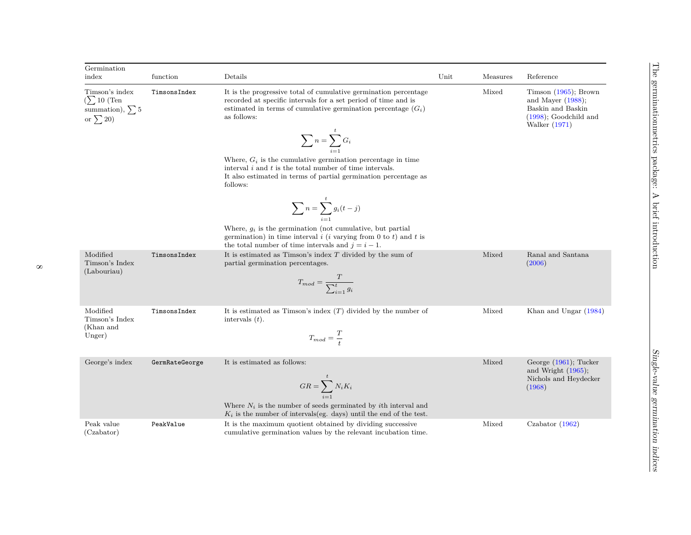| Germination<br>index                                                                   | function       | Details                                                                                                                                                                                                              | Unit | Measures | Reference                                                                                                           |
|----------------------------------------------------------------------------------------|----------------|----------------------------------------------------------------------------------------------------------------------------------------------------------------------------------------------------------------------|------|----------|---------------------------------------------------------------------------------------------------------------------|
| Timson's index<br>$\left(\sum 10\right)$ (Ten<br>summation), $\sum$ 5<br>or $\sum$ 20) | TimsonsIndex   | It is the progressive total of cumulative germination percentage<br>recorded at specific intervals for a set period of time and is<br>estimated in terms of cumulative germination percentage $(G_i)$<br>as follows: |      | Mixed    | Timson $(1965)$ ; Brown<br>and Mayer $(1988)$ ;<br>Baskin and Baskin<br>$(1998)$ ; Goodchild and<br>Walker $(1971)$ |
|                                                                                        |                | $\sum_{i=1}^{l} G_i$                                                                                                                                                                                                 |      |          |                                                                                                                     |
|                                                                                        |                | Where, $G_i$ is the cumulative germination percentage in time<br>interval $i$ and $t$ is the total number of time intervals.<br>It also estimated in terms of partial germination percentage as<br>follows:          |      |          |                                                                                                                     |
|                                                                                        |                | $\sum_{i=1}^{t} g_i(t-j)$                                                                                                                                                                                            |      |          |                                                                                                                     |
|                                                                                        |                | Where, $g_i$ is the germination (not cumulative, but partial<br>germination) in time interval $i$ (i varying from 0 to t) and t is<br>the total number of time intervals and $j = i - 1$ .                           |      |          |                                                                                                                     |
| Modified<br>Timson's Index<br>(Labouriau)                                              | TimsonsIndex   | It is estimated as Timson's index $T$ divided by the sum of<br>partial germination percentages.<br>$T_{mod} = \frac{T}{\sum_{i=1}^{t} g_i}$                                                                          |      | Mixed    | Ranal and Santana<br>(2006)                                                                                         |
| Modified<br>Timson's Index<br>(Khan and<br>Unger)                                      | TimsonsIndex   | It is estimated as Timson's index $(T)$ divided by the number of<br>intervals $(t)$ .<br>$T_{mod} = \frac{T}{4}$                                                                                                     |      | Mixed    | Khan and Ungar (1984)                                                                                               |
| George's index                                                                         | GermRateGeorge | It is estimated as follows:<br>$GR = \sum^{t} N_i K_i$                                                                                                                                                               |      | Mixed    | George $(1961)$ ; Tucker<br>and Wright $(1965)$ ;<br>Nichols and Heydecker<br>(1968)                                |
|                                                                                        |                | Where $N_i$ is the number of seeds germinated by ith interval and<br>$K_i$ is the number of intervals(eg. days) until the end of the test.                                                                           |      |          |                                                                                                                     |
| Peak value<br>(Czabator)                                                               | PeakValue      | It is the maximum quotient obtained by dividing successive<br>cumulative germination values by the relevant incubation time.                                                                                         |      | Mixed    | Czabator $(1962)$                                                                                                   |

л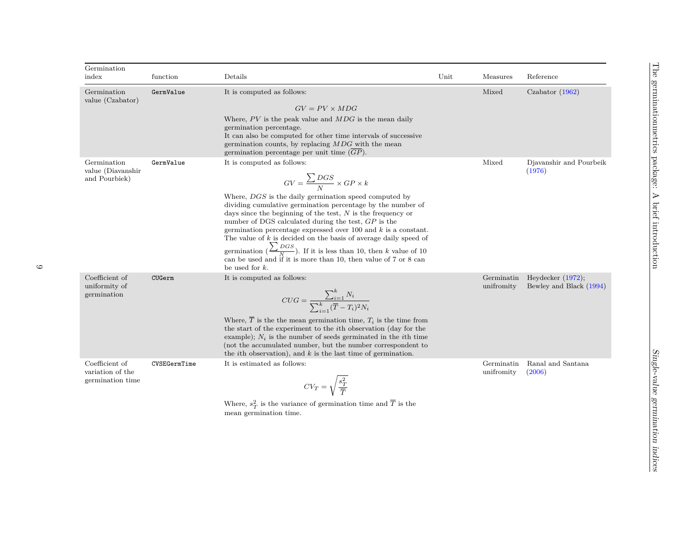| Germination<br>index                                   | function     | Details                                                                                                                                                                                                                                                                                                                                                                                                                                                                                                                                                                                                                                                     | Unit | Measures                 | Reference                                       |
|--------------------------------------------------------|--------------|-------------------------------------------------------------------------------------------------------------------------------------------------------------------------------------------------------------------------------------------------------------------------------------------------------------------------------------------------------------------------------------------------------------------------------------------------------------------------------------------------------------------------------------------------------------------------------------------------------------------------------------------------------------|------|--------------------------|-------------------------------------------------|
| Germination<br>value (Czabator)                        | GermValue    | It is computed as follows:<br>$GV = PV \times MDG$<br>Where, $PV$ is the peak value and $MDG$ is the mean daily<br>germination percentage.<br>It can also be computed for other time intervals of successive<br>germination counts, by replacing $MDG$ with the mean<br>germination percentage per unit time $(GP)$ .                                                                                                                                                                                                                                                                                                                                       |      | Mixed                    | Czabator $(1962)$                               |
| Germination<br>value (Diavanshir<br>and Pourbiek)      | GermValue    | It is computed as follows:<br>$GV = \frac{\sum DGS}{N} \times GP \times k$<br>Where, DGS is the daily germination speed computed by<br>dividing cumulative germination percentage by the number of<br>days since the beginning of the test, $N$ is the frequency or<br>number of DGS calculated during the test, $GP$ is the<br>germination percentage expressed over 100 and $k$ is a constant.<br>The value of $k$ is decided on the basis of average daily speed of<br>germination $\left(\frac{\sum DGS}{N}\right)$ . If it is less than 10, then k value of 10<br>can be used and if it is more than 10, then value of 7 or 8 can<br>be used for $k$ . |      | Mixed                    | Djavanshir and Pourbeik<br>(1976)               |
| Coefficient of<br>uniformity of<br>germination         | CUGerm       | It is computed as follows:<br>$CUG = \frac{\sum_{i=1}^{k} N_i}{\sum_{i=1}^{k} (\overline{T} - T_i)^2 N_i}$<br>Where, $\overline{T}$ is the the mean germination time, $T_i$ is the time from<br>the start of the experiment to the <i>i</i> th observation (day for the<br>example); $N_i$ is the number of seeds germinated in the <i>i</i> th time<br>(not the accumulated number, but the number correspondent to<br>the <i>i</i> th observation), and $k$ is the last time of germination.                                                                                                                                                              |      | Germinatin<br>unifromity | Heydecker $(1972)$ ;<br>Bewley and Black (1994) |
| Coefficient of<br>variation of the<br>germination time | CVSEGermTime | It is estimated as follows:<br>$CV_T = \sqrt{\frac{s_T^2}{\overline{T}}}$<br>Where, $s_T^2$ is the variance of germination time and $\overline{T}$ is the                                                                                                                                                                                                                                                                                                                                                                                                                                                                                                   |      | Germinatin<br>unifromity | Ranal and Santana<br>(2006)                     |

where,  $s_T$  is the variant<br>mean germination time.

 $\circ$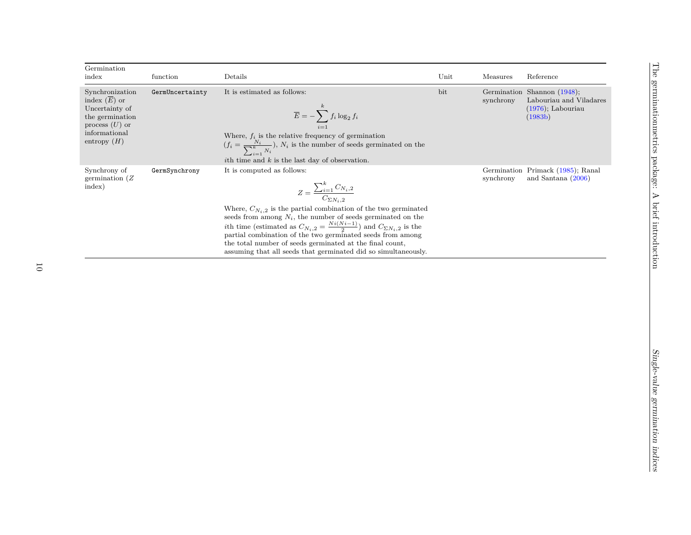| Germination<br>index                                                                                                         | function        | Details                                                                                                                                                                                                                                                                                                                                                                                                                                                                                                                | Unit | Measures  | Reference                                                                                 |
|------------------------------------------------------------------------------------------------------------------------------|-----------------|------------------------------------------------------------------------------------------------------------------------------------------------------------------------------------------------------------------------------------------------------------------------------------------------------------------------------------------------------------------------------------------------------------------------------------------------------------------------------------------------------------------------|------|-----------|-------------------------------------------------------------------------------------------|
| Synchronization<br>index $(E)$ or<br>Uncertainty of<br>the germination<br>process $(U)$ or<br>informational<br>entropy $(H)$ | GermUncertainty | It is estimated as follows:<br>$\overline{E} = -\sum_{i=1}^k f_i \log_2 f_i$<br>Where, $f_i$ is the relative frequency of germination<br>$(f_i = \frac{N_i}{\sum_{i=1}^k N_i}), N_i$ is the number of seeds germinated on the<br><i>i</i> th time and $k$ is the last day of observation.                                                                                                                                                                                                                              | bit  | synchrony | Germination Shannon (1948);<br>Labouriau and Viladares<br>$(1976)$ ; Labouriau<br>(1983b) |
| Synchrony of<br>germination $(Z)$<br>index)                                                                                  | GermSynchrony   | It is computed as follows:<br>$Z = \frac{\sum_{i=1}^{k} C_{N_i,2}}{C_{\Sigma N_i,2}}$<br>Where, $C_{N_i,2}$ is the partial combination of the two germinated<br>seeds from among $N_i$ , the number of seeds germinated on the<br>ith time (estimated as $C_{N_i,2} = \frac{Ni(N_i-1)}{2}$ ) and $C_{\Sigma N_i,2}$ is the<br>partial combination of the two germinated seeds from among<br>the total number of seeds germinated at the final count,<br>assuming that all seeds that germinated did so simultaneously. |      | synchrony | Germination Primack (1985); Ranal<br>and Santana $(2006)$                                 |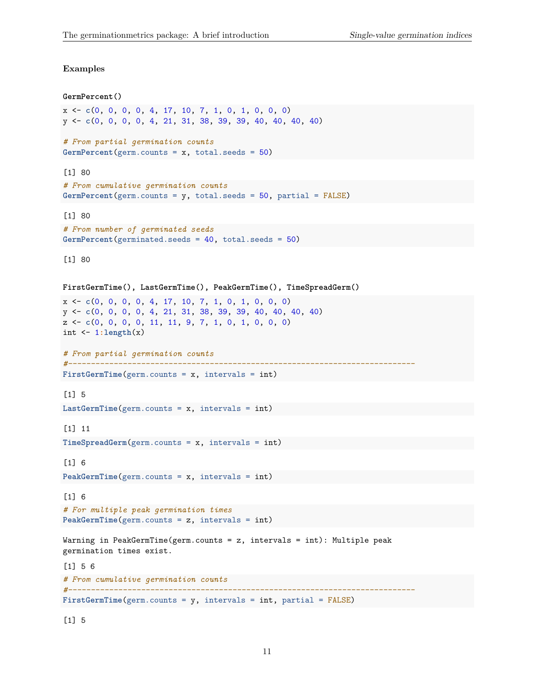#### **Examples**

[1] 5

```
GermPercent()
x <- c(0, 0, 0, 0, 4, 17, 10, 7, 1, 0, 1, 0, 0, 0)
y <- c(0, 0, 0, 0, 4, 21, 31, 38, 39, 39, 40, 40, 40, 40)
# From partial germination counts
GermPercent(germ.counts = x, total.seeds = 50)
[1] 80
# From cumulative germination counts
GermPercent(germ.counts = y, total.seeds = 50, partial = FALSE)
[1] 80
# From number of germinated seeds
GermPercent(germinated.seeds = 40, total.seeds = 50)
[1] 80
FirstGermTime(), LastGermTime(), PeakGermTime(), TimeSpreadGerm()
x <- c(0, 0, 0, 0, 4, 17, 10, 7, 1, 0, 1, 0, 0, 0)
y <- c(0, 0, 0, 0, 4, 21, 31, 38, 39, 39, 40, 40, 40, 40)
z <- c(0, 0, 0, 0, 11, 11, 9, 7, 1, 0, 1, 0, 0, 0)
int \leftarrow 1:length(x)# From partial germination counts
#----------------------------------------------------------------------------
FirstGermTime(germ.counts = x, intervals = int)
[1] 5
LastGermTime(germ.counts = x, intervals = int)
[1] 11
TimeSpreadGerm(germ.counts = x, intervals = int)
[1] 6
PeakGermTime(germ.counts = x, intervals = int)
[1] 6
# For multiple peak germination times
PeakGermTime(germ.counts = z, intervals = int)
Warning in PeakGermTime(germ.counts = z, intervals = int): Multiple peak
germination times exist.
[1] 5 6
# From cumulative germination counts
#----------------------------------------------------------------------------
FirstGermTime(germ.counts = y, intervals = int, partial = FALSE)
```
11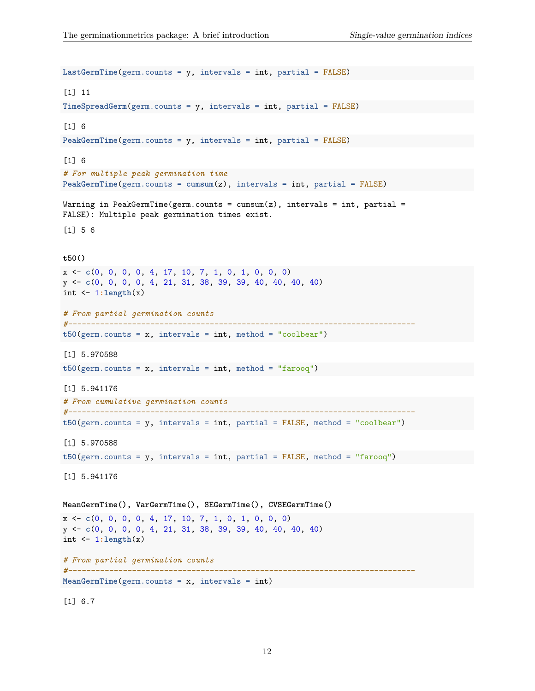```
LastGermTime(germ.counts = y, intervals = int, partial = FALSE)
[1] 11
TimeSpreadGerm(germ.counts = y, intervals = int, partial = FALSE)
[1] 6
PeakGermTime(germ.counts = y, intervals = int, partial = FALSE)
[1] 6
# For multiple peak germination time
PeakGermTime(germ.counts = cumsum(z), intervals = int, partial = FALSE)
Warning in PeakGermTime(germ.counts = cum(s), intervals = int, partial =
FALSE): Multiple peak germination times exist.
[1] 5 6
t50()
x <- c(0, 0, 0, 0, 4, 17, 10, 7, 1, 0, 1, 0, 0, 0)
y <- c(0, 0, 0, 0, 4, 21, 31, 38, 39, 39, 40, 40, 40, 40)
int <- 1:length(x)
# From partial germination counts
#----------------------------------------------------------------------------
t50(germ.counts = x, intervals = int, method = "coolbear")
[1] 5.970588
t50(germ.counts = x, intervals = int, method = "farooq")
[1] 5.941176
# From cumulative germination counts
#----------------------------------------------------------------------------
t50(germ.counts = y, intervals = int, partial = FALSE, method = "coolbear")
[1] 5.970588
t50(germ.counts = y, intervals = int, partial = FALSE, method = "farooq")
[1] 5.941176
MeanGermTime(), VarGermTime(), SEGermTime(), CVSEGermTime()
x <- c(0, 0, 0, 0, 4, 17, 10, 7, 1, 0, 1, 0, 0, 0)
y <- c(0, 0, 0, 0, 4, 21, 31, 38, 39, 39, 40, 40, 40, 40)
int \leftarrow 1:length(x)# From partial germination counts
#----------------------------------------------------------------------------
MeanGermTime(germ.counts = x, intervals = int)
```
[1] 6.7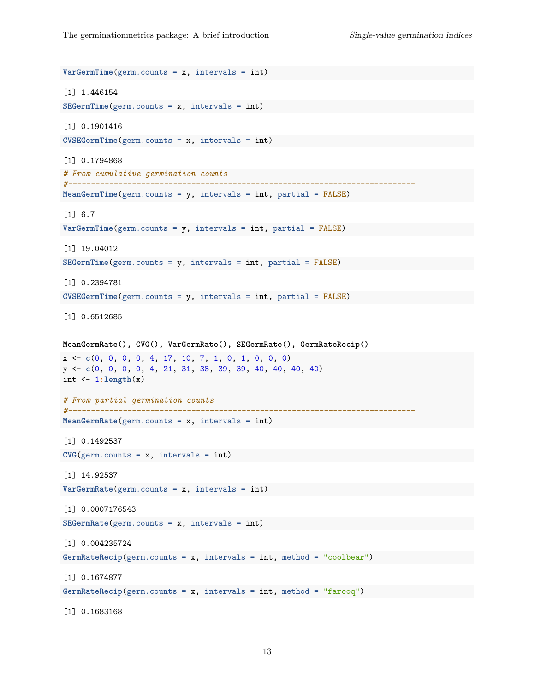```
VarGermTime(germ.counts = x, intervals = int)
[1] 1.446154
SEGermTime(germ.counts = x, intervals = int)
[1] 0.1901416
CVSEGermTime(germ.counts = x, intervals = int)
[1] 0.1794868
# From cumulative germination counts
#----------------------------------------------------------------------------
MeanGermTime(germ.counts = y, intervals = int, partial = FALSE)
[1] 6.7
VarGermTime(germ.counts = y, intervals = int, partial = FALSE)
[1] 19.04012
SEGermTime(germ.counts = y, intervals = int, partial = FALSE)
[1] 0.2394781
CVSEGermTime(germ.counts = y, intervals = int, partial = FALSE)
[1] 0.6512685
MeanGermRate(), CVG(), VarGermRate(), SEGermRate(), GermRateRecip()
x <- c(0, 0, 0, 0, 4, 17, 10, 7, 1, 0, 1, 0, 0, 0)
y <- c(0, 0, 0, 0, 4, 21, 31, 38, 39, 39, 40, 40, 40, 40)
int <- 1:length(x)
# From partial germination counts
#----------------------------------------------------------------------------
MeanGermRate(germ.counts = x, intervals = int)
[1] 0.1492537
CVG(germ.counts = x, intervals = int)[1] 14.92537
VarGermRate(germ.counts = x, intervals = int)
[1] 0.0007176543
SEGermRate(germ.counts = x, intervals = int)
[1] 0.004235724
GermRateRecip(germ.counts = x, intervals = int, method = "coolbear")
[1] 0.1674877
GermRateRecip(germ.counts = x, intervals = int, method = "farooq")
```
[1] 0.1683168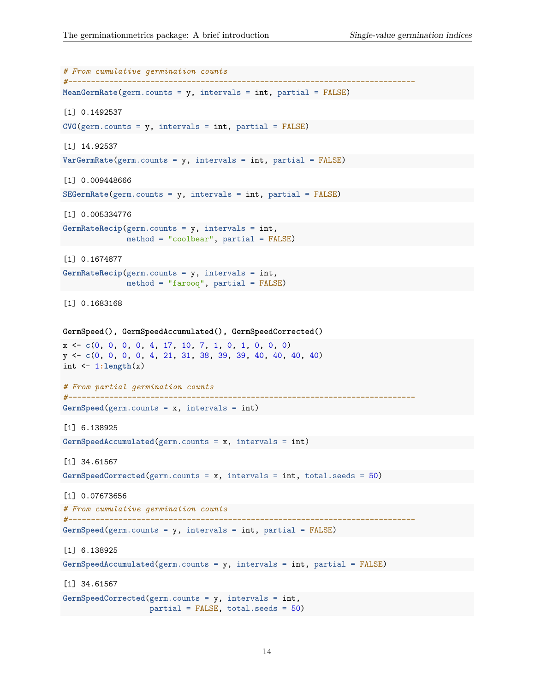```
# From cumulative germination counts
#----------------------------------------------------------------------------
MeanGermRate(germ.counts = y, intervals = int, partial = FALSE)
[1] 0.1492537
CVG(germ.counts = y, intervals = int, partial = FALSE)[1] 14.92537
VarGermRate(germ.counts = y, intervals = int, partial = FALSE)
[1] 0.009448666
SEGermRate(germ.counts = y, intervals = int, partial = FALSE)
[1] 0.005334776
GermRateRecip(germ.counts = y, intervals = int,
               method = "coolbear", partial = FALSE)
[1] 0.1674877
GermRateRecip(germ.counts = y, intervals = int,
              method = "farooq", partial = FALSE)
[1] 0.1683168
GermSpeed(), GermSpeedAccumulated(), GermSpeedCorrected()
x <- c(0, 0, 0, 0, 4, 17, 10, 7, 1, 0, 1, 0, 0, 0)
y <- c(0, 0, 0, 0, 4, 21, 31, 38, 39, 39, 40, 40, 40, 40)
int <- 1:length(x)
# From partial germination counts
#----------------------------------------------------------------------------
GermSpeed(germ.counts = x, intervals = int)
[1] 6.138925
GermSpeedAccumulated(germ.counts = x, intervals = int)
[1] 34.61567
GermSpeedCorrected(germ.counts = x, intervals = int, total.seeds = 50)
[1] 0.07673656
# From cumulative germination counts
#----------------------------------------------------------------------------
GermSpeed(germ.counts = y, intervals = int, partial = FALSE)
[1] 6.138925
GermSpeedAccumulated(germ.counts = y, intervals = int, partial = FALSE)
[1] 34.61567
GermSpeedCorrected(germ.counts = y, intervals = int,
                    partial = FALSE, total.seeds = 50)
```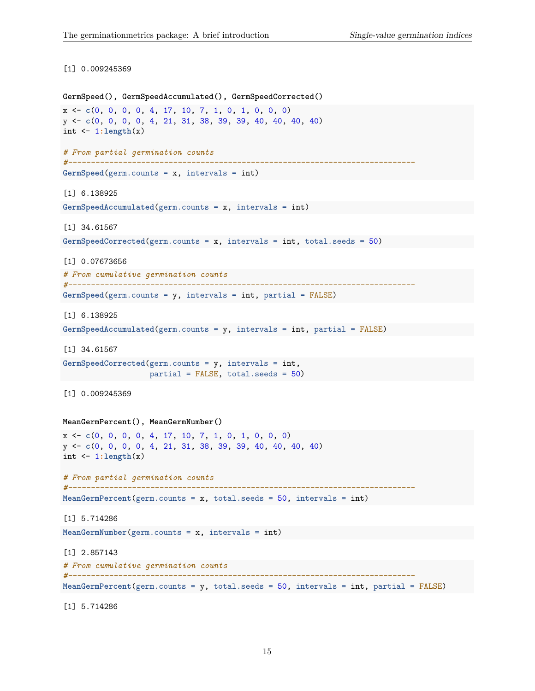#### [1] 0.009245369

```
GermSpeed(), GermSpeedAccumulated(), GermSpeedCorrected()
x <- c(0, 0, 0, 0, 4, 17, 10, 7, 1, 0, 1, 0, 0, 0)
y <- c(0, 0, 0, 0, 4, 21, 31, 38, 39, 39, 40, 40, 40, 40)
int \leftarrow 1:length(x)# From partial germination counts
#----------------------------------------------------------------------------
GermSpeed(germ.counts = x, intervals = int)
[1] 6.138925
GermSpeedAccumulated(germ.counts = x, intervals = int)
[1] 34.61567
GermSpeedCorrected(germ.counts = x, intervals = int, total.seeds = 50)
[1] 0.07673656
# From cumulative germination counts
#----------------------------------------------------------------------------
GermSpeed(germ.counts = y, intervals = int, partial = FALSE)
[1] 6.138925
GermSpeedAccumulated(germ.counts = y, intervals = int, partial = FALSE)
[1] 34.61567
GermSpeedCorrected(germ.counts = y, intervals = int,
                    partial = FALSE, total.seeds = 50)
[1] 0.009245369
MeanGermPercent(), MeanGermNumber()
x <- c(0, 0, 0, 0, 4, 17, 10, 7, 1, 0, 1, 0, 0, 0)
y <- c(0, 0, 0, 0, 4, 21, 31, 38, 39, 39, 40, 40, 40, 40)
int <- 1:length(x)
# From partial germination counts
#----------------------------------------------------------------------------
MeanGermPercent(germ.counts = x, total.seeds = 50, intervals = int)
[1] 5.714286
MeanGermNumber(germ.counts = x, intervals = int)
[1] 2.857143
# From cumulative germination counts
#----------------------------------------------------------------------------
MeanGermPercent(germ.counts = y, total.seeds = 50, intervals = int, partial = FALSE)
```
[1] 5.714286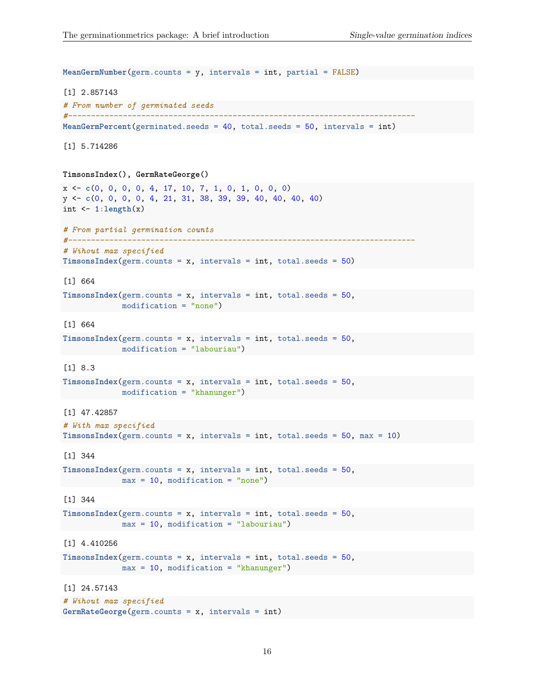```
MeanGermNumber(germ.counts = y, intervals = int, partial = FALSE)
[1] 2.857143
# From number of germinated seeds
#----------------------------------------------------------------------------
MeanGermPercent(germinated.seeds = 40, total.seeds = 50, intervals = int)
[1] 5.714286
TimsonsIndex(), GermRateGeorge()
x <- c(0, 0, 0, 0, 4, 17, 10, 7, 1, 0, 1, 0, 0, 0)
y <- c(0, 0, 0, 0, 4, 21, 31, 38, 39, 39, 40, 40, 40, 40)
int \leftarrow 1:length(x)# From partial germination counts
#----------------------------------------------------------------------------
# Wihout max specified
TimsonsIndex(germ.counts = x, intervals = int, total.eeds = 50)[1] 664
TimsonsIndex(germ.counts = x, intervals = int, total.seeds = 50,
           modification = "none")
[1] 664
TimsonsIndex(germ.counts = x, intervals = int, total.seeds = 50,
             modification = "labouriau")
[1] 8.3
TimsonsIndex(germ.counts = x, intervals = int, total.seeds = 50,
             modification = "khanunger")
[1] 47.42857
# With max specified
TimsonsIndex(germ.counts = x, intervals = int, total.seeds = 50, max = 10)
[1] 344
TimsonsIndex(germ.counts = x, intervals = int, total.eeds = 50,max = 10, modification = "none")
[1] 344
TimsonsIndex(germ.counts = x, intervals = int, total.seeds = 50,
             max = 10, modification = "labouriau")
[1] 4.410256
TimsonsIndex(germ.counts = x, intervals = int, total.seeds = 50,
             max = 10, modification = "khanunger")
[1] 24.57143
# Wihout max specified
GermRateGeorge(germ.counts = x, intervals = int)
```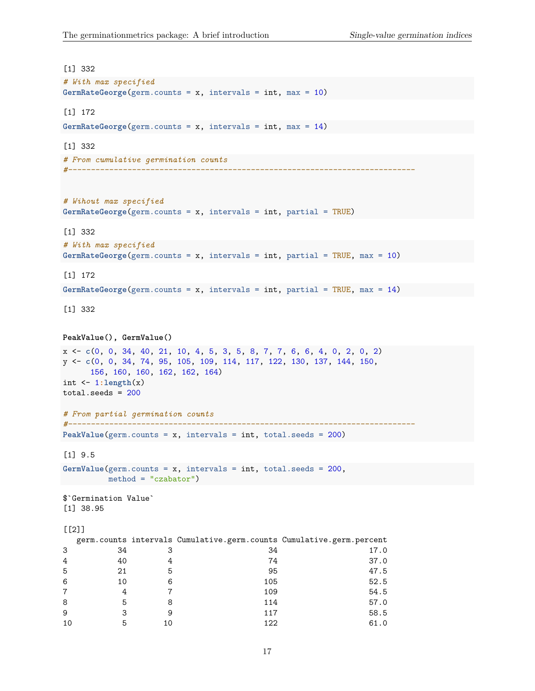```
[1] 332
# With max specified
GermRateGeorge(germ.counts = x, intervals = int, max = 10)
[1] 172
GermRateGeorge(germ.counts = x, intervals = int, max = 14)
[1] 332
# From cumulative germination counts
#----------------------------------------------------------------------------
# Wihout max specified
GermRateGeorge(germ.counts = x, intervals = int, partial = TRUE)
[1] 332
# With max specified
GermRateGeorge(germ.counts = x, intervals = int, partial = TRUE, max = 10)
[1] 172
GermRateGeorge(germ.counts = x, intervals = int, partial = TRUE, max = 14)
[1] 332
PeakValue(), GermValue()
x <- c(0, 0, 34, 40, 21, 10, 4, 5, 3, 5, 8, 7, 7, 6, 6, 4, 0, 2, 0, 2)
y <- c(0, 0, 34, 74, 95, 105, 109, 114, 117, 122, 130, 137, 144, 150,
    156, 160, 160, 162, 162, 164)
int <- 1:length(x)
total.seeds = 200
# From partial germination counts
#----------------------------------------------------------------------------
PeakValue(germ.counts = x, intervals = int, total.seeds = 200)
[1] 9.5
GermValue(germ.counts = x, intervals = int, total.seeds = 200,
       method = "czabator")
$`Germination Value`
[1] 38.95
[[2]]
  germ.counts intervals Cumulative.germ.counts Cumulative.germ.percent
3 34 3 34 17.0
4 40 4 74 37.0
5 21 5 95 47.5
6 10 6 105 52.5
7 4 7 109 54.5
8 5 8 114 57.0
9 3 9 117 58.5
```
10 5 10 122 61.0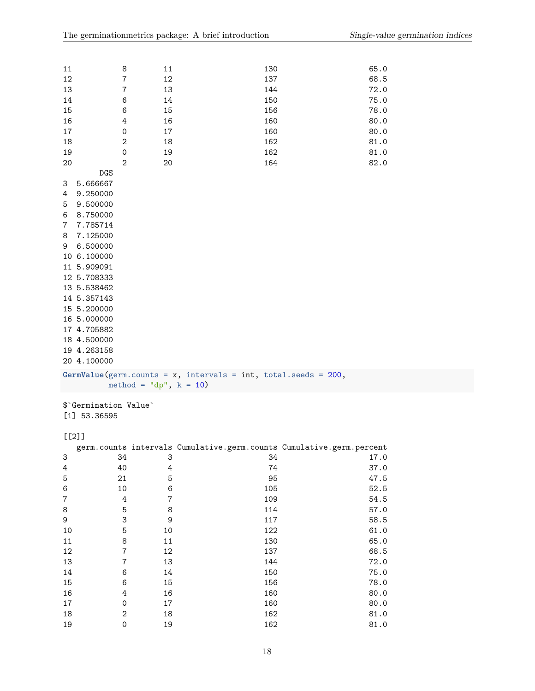| 11<br>12<br>13<br>14<br>15<br>16<br>17                                                                                                                                                                                                                                    | 8<br>7<br>7<br>6<br>6<br>4<br>0 | 11<br>12<br>13<br>14<br>15<br>16<br>17                            | 130<br>137<br>144<br>150<br>156<br>160<br>160                              | 65.0<br>68.5<br>72.0<br>75.0<br>78.0<br>80.0<br>80.0 |
|---------------------------------------------------------------------------------------------------------------------------------------------------------------------------------------------------------------------------------------------------------------------------|---------------------------------|-------------------------------------------------------------------|----------------------------------------------------------------------------|------------------------------------------------------|
| 18                                                                                                                                                                                                                                                                        | 2                               | 18                                                                | 162                                                                        | 81.0                                                 |
| 19                                                                                                                                                                                                                                                                        | 0<br>$\overline{2}$             | 19                                                                | 162<br>164                                                                 | 81.0<br>82.0                                         |
| 20<br><b>DGS</b>                                                                                                                                                                                                                                                          |                                 | 20                                                                |                                                                            |                                                      |
| 5.666667<br>3<br>9.250000<br>4<br>9.500000<br>5<br>8.750000<br>6<br>7.785714<br>7<br>7.125000<br>8<br>6.500000<br>9<br>10 6.100000<br>11 5.909091<br>12 5.708333<br>13 5.538462<br>14 5.357143<br>15 5.200000<br>16 5.000000<br>17 4.705882<br>18 4.500000<br>19 4.263158 |                                 |                                                                   |                                                                            |                                                      |
| 20 4.100000                                                                                                                                                                                                                                                               |                                 |                                                                   |                                                                            |                                                      |
|                                                                                                                                                                                                                                                                           |                                 | GermValue(germ.counts = $x$ , intervals = int, total.seeds = 200, |                                                                            |                                                      |
| \$'Germination Value'<br>$[1]$ 53.36595                                                                                                                                                                                                                                   |                                 | method = "dp", $k = 10$ )                                         |                                                                            |                                                      |
|                                                                                                                                                                                                                                                                           |                                 |                                                                   |                                                                            |                                                      |
| $[2]$                                                                                                                                                                                                                                                                     |                                 |                                                                   |                                                                            |                                                      |
| 3                                                                                                                                                                                                                                                                         | 34                              | 3                                                                 | germ.counts intervals Cumulative.germ.counts Cumulative.germ.percent<br>34 | 17.0                                                 |
| $\ensuremath{4}$                                                                                                                                                                                                                                                          | 40                              | 4                                                                 | 74                                                                         | 37.0                                                 |
| 5                                                                                                                                                                                                                                                                         | 21                              | $\mathbf 5$                                                       | 95                                                                         | 47.5                                                 |
| $\,6$                                                                                                                                                                                                                                                                     | 10                              | 6                                                                 | 105                                                                        | 52.5                                                 |
| $\bf 7$                                                                                                                                                                                                                                                                   | $\ensuremath{4}$                | $\boldsymbol{7}$                                                  | 109                                                                        | 54.5                                                 |
| 8                                                                                                                                                                                                                                                                         | $\mathbf 5$                     | 8                                                                 | 114                                                                        | 57.0                                                 |
| 9                                                                                                                                                                                                                                                                         | 3                               | $\mathsf 9$                                                       | 117                                                                        | 58.5                                                 |
| 10                                                                                                                                                                                                                                                                        | 5                               | 10                                                                | 122                                                                        | 61.0                                                 |
| $11\,$                                                                                                                                                                                                                                                                    | 8                               | $11\,$                                                            | 130                                                                        | 65.0                                                 |
| $12\,$                                                                                                                                                                                                                                                                    | $\boldsymbol{7}$                | 12                                                                | 137                                                                        | 68.5                                                 |
| 13                                                                                                                                                                                                                                                                        | $\overline{7}$                  | 13                                                                | 144                                                                        | 72.0                                                 |
| $14\,$                                                                                                                                                                                                                                                                    | 6                               | 14                                                                | 150                                                                        | 75.0                                                 |
| 15                                                                                                                                                                                                                                                                        | 6                               | 15                                                                | 156                                                                        | 78.0                                                 |
| 16                                                                                                                                                                                                                                                                        | $\ensuremath{4}$                | 16                                                                | 160                                                                        | 80.0                                                 |
| $17\,$                                                                                                                                                                                                                                                                    | 0                               | $17\,$                                                            | 160                                                                        | 80.0                                                 |
| 18                                                                                                                                                                                                                                                                        | $\sqrt{2}$                      | 18                                                                | 162                                                                        | 81.0                                                 |
| 19                                                                                                                                                                                                                                                                        | $\mathsf{O}\xspace$             | 19                                                                | 162                                                                        | 81.0                                                 |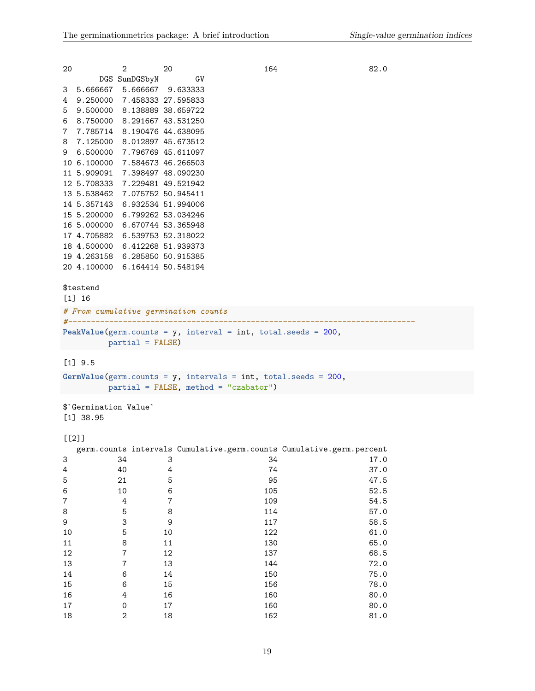| 20               |                      | 2                              | 20     |                                         | 164                                                                  | 82.0 |
|------------------|----------------------|--------------------------------|--------|-----------------------------------------|----------------------------------------------------------------------|------|
|                  |                      | DGS SumDGSbyN                  |        | GV                                      |                                                                      |      |
|                  |                      | 3 5.666667 5.666667 9.633333   |        |                                         |                                                                      |      |
| 4                |                      | 9.250000 7.458333 27.595833    |        |                                         |                                                                      |      |
| 5                |                      | 9.500000 8.138889 38.659722    |        |                                         |                                                                      |      |
| 6                |                      | 8.750000 8.291667 43.531250    |        |                                         |                                                                      |      |
| 7                |                      | 7.785714 8.190476 44.638095    |        |                                         |                                                                      |      |
| 8                |                      | 7.125000 8.012897 45.673512    |        |                                         |                                                                      |      |
|                  |                      | 9 6.500000 7.796769 45.611097  |        |                                         |                                                                      |      |
|                  |                      | 10 6.100000 7.584673 46.266503 |        |                                         |                                                                      |      |
|                  |                      | 11 5.909091 7.398497 48.090230 |        |                                         |                                                                      |      |
|                  |                      | 12 5.708333 7.229481 49.521942 |        |                                         |                                                                      |      |
|                  |                      | 13 5.538462 7.075752 50.945411 |        |                                         |                                                                      |      |
|                  |                      | 14 5.357143 6.932534 51.994006 |        |                                         |                                                                      |      |
|                  |                      | 15 5.200000 6.799262 53.034246 |        |                                         |                                                                      |      |
|                  |                      | 16 5.000000 6.670744 53.365948 |        |                                         |                                                                      |      |
|                  |                      | 17 4.705882 6.539753 52.318022 |        |                                         |                                                                      |      |
|                  |                      | 18 4.500000 6.412268 51.939373 |        |                                         |                                                                      |      |
|                  |                      | 19 4.263158 6.285850 50.915385 |        |                                         |                                                                      |      |
|                  |                      | 20 4.100000 6.164414 50.548194 |        |                                         |                                                                      |      |
|                  |                      |                                |        |                                         |                                                                      |      |
|                  | \$testend            |                                |        |                                         |                                                                      |      |
|                  | $[1] 16$             |                                |        |                                         |                                                                      |      |
|                  |                      |                                |        | # From cumulative germination counts    |                                                                      |      |
|                  |                      |                                |        |                                         |                                                                      |      |
|                  |                      |                                |        |                                         | PeakValue(germ.counts = $y$ , interval = int, total.seeds = 200,     |      |
|                  |                      | $partial = FALSE)$             |        |                                         |                                                                      |      |
|                  |                      |                                |        |                                         |                                                                      |      |
|                  | $[1]$ 9.5            |                                |        |                                         |                                                                      |      |
|                  |                      |                                |        |                                         | GermValue(germ.counts = $y$ , intervals = int, total.seeds = 200,    |      |
|                  |                      |                                |        | $partial = FALSE, method = "czabator")$ |                                                                      |      |
|                  |                      |                                |        |                                         |                                                                      |      |
|                  | \$ Germination Value |                                |        |                                         |                                                                      |      |
|                  | $[1]$ 38.95          |                                |        |                                         |                                                                      |      |
|                  |                      |                                |        |                                         |                                                                      |      |
| $[$ [2]]         |                      |                                |        |                                         |                                                                      |      |
|                  |                      |                                |        |                                         | germ.counts intervals Cumulative.germ.counts Cumulative.germ.percent |      |
| 3                |                      | 34                             | 3      |                                         | 34                                                                   | 17.0 |
| 4                |                      | 40                             | 4      |                                         | 74                                                                   | 37.0 |
| 5                |                      | 21                             | 5      |                                         | 95                                                                   | 47.5 |
| 6                |                      | 10                             | 6      |                                         | 105                                                                  | 52.5 |
| $\boldsymbol{7}$ |                      | $\,4$                          | 7      |                                         | 109                                                                  | 54.5 |
| 8                |                      | 5                              | 8      |                                         | 114                                                                  | 57.0 |
| 9                |                      | 3                              | 9      |                                         | 117                                                                  | 58.5 |
| 10               |                      | $\overline{5}$                 | 10     |                                         | 122                                                                  | 61.0 |
| 11               |                      | 8                              | $11\,$ |                                         | 130                                                                  | 65.0 |
| 12               |                      | $\overline{7}$                 | 12     |                                         | 137                                                                  | 68.5 |
| 13               |                      | $\overline{7}$                 | 13     |                                         | 144                                                                  | 72.0 |

14 6 14 150 75.0 15 6 15 156 156 78.0 16 4 16 160 80.0 17 0 17 160 80.0 18 2 18 162 81.0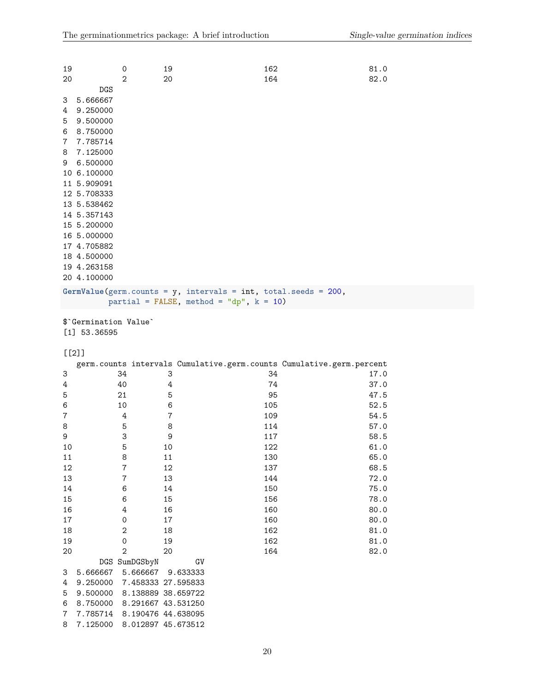| 20                              | $\mathbf 0$<br>2                                                                                                                                                                                                                                                    | 19<br>20                                   | 162<br>164                                                                                                      | 81.0<br>82.0 |  |
|---------------------------------|---------------------------------------------------------------------------------------------------------------------------------------------------------------------------------------------------------------------------------------------------------------------|--------------------------------------------|-----------------------------------------------------------------------------------------------------------------|--------------|--|
| 3<br>4<br>5<br>6<br>7<br>8<br>9 | <b>DGS</b><br>5.666667<br>9.250000<br>9.500000<br>8.750000<br>7.785714<br>7.125000<br>6.500000<br>10 6.100000<br>11 5.909091<br>12 5.708333<br>13 5.538462<br>14 5.357143<br>15 5.200000<br>16 5.000000<br>17 4.705882<br>18 4.500000<br>19 4.263158<br>20 4.100000 |                                            |                                                                                                                 |              |  |
|                                 |                                                                                                                                                                                                                                                                     |                                            | GermValue(germ.counts = $y$ , intervals = int, total.seeds = 200,<br>partial = FALSE, method = "dp", $k = 10$ ) |              |  |
|                                 | \$'Germination Value'                                                                                                                                                                                                                                               |                                            |                                                                                                                 |              |  |
|                                 | $[1]$ 53.36595                                                                                                                                                                                                                                                      |                                            |                                                                                                                 |              |  |
|                                 | $[2]$                                                                                                                                                                                                                                                               |                                            |                                                                                                                 |              |  |
|                                 |                                                                                                                                                                                                                                                                     |                                            | germ.counts intervals Cumulative.germ.counts Cumulative.germ.percent                                            |              |  |
| 3                               | 34                                                                                                                                                                                                                                                                  | 3                                          | 34                                                                                                              | 17.0         |  |
| 4                               | 40                                                                                                                                                                                                                                                                  | 4                                          | 74                                                                                                              | 37.0         |  |
| 5                               | 21                                                                                                                                                                                                                                                                  | 5                                          | 95                                                                                                              | 47.5         |  |
| 6                               | 10                                                                                                                                                                                                                                                                  | 6                                          | 105                                                                                                             | 52.5         |  |
| 7                               | 4                                                                                                                                                                                                                                                                   | $\boldsymbol{7}$                           | 109                                                                                                             | 54.5         |  |
| 8                               | 5                                                                                                                                                                                                                                                                   | 8                                          | 114                                                                                                             | 57.0         |  |
| 9                               | 3                                                                                                                                                                                                                                                                   | 9                                          | 117                                                                                                             | 58.5         |  |
| 10                              | 5                                                                                                                                                                                                                                                                   | 10                                         | 122                                                                                                             | 61.0         |  |
| 11                              | 8                                                                                                                                                                                                                                                                   | 11                                         | 130                                                                                                             | 65.0         |  |
| 12                              | $\overline{7}$                                                                                                                                                                                                                                                      | 12                                         | 137                                                                                                             | 68.5         |  |
| 13                              | $\overline{7}$                                                                                                                                                                                                                                                      | 13                                         | 144                                                                                                             | 72.0         |  |
| 14                              | 6                                                                                                                                                                                                                                                                   | $14\,$                                     | 150                                                                                                             | 75.0         |  |
| 15                              | 6                                                                                                                                                                                                                                                                   | 15                                         | 156                                                                                                             | 78.0         |  |
| 16                              | 4                                                                                                                                                                                                                                                                   | 16                                         | 160                                                                                                             | 80.0         |  |
| $17\,$                          | 0                                                                                                                                                                                                                                                                   | $17\,$                                     | 160                                                                                                             | 80.0         |  |
| 18                              | $\sqrt{2}$                                                                                                                                                                                                                                                          | 18                                         | 162                                                                                                             | 81.0         |  |
| 19                              | 0                                                                                                                                                                                                                                                                   | 19                                         | 162                                                                                                             | 81.0         |  |
| 20                              | $\overline{2}$                                                                                                                                                                                                                                                      | 20                                         | 164                                                                                                             | 82.0         |  |
|                                 | DGS SumDGSbyN                                                                                                                                                                                                                                                       | ${\rm GV}$                                 |                                                                                                                 |              |  |
| 3<br>4                          | 5.666667<br>9.250000                                                                                                                                                                                                                                                | 5.666667<br>9.633333<br>7.458333 27.595833 |                                                                                                                 |              |  |

6 8.750000 8.291667 43.531250 7 7.785714 8.190476 44.638095 8 7.125000 8.012897 45.673512

5 9.500000 8.138889 38.659722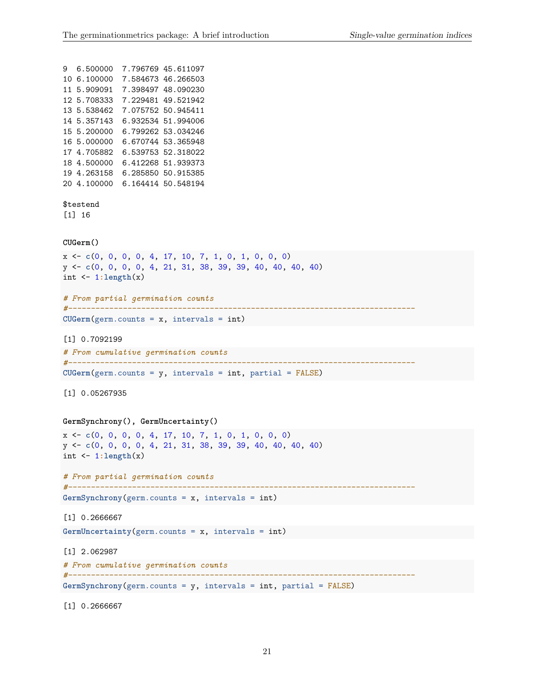```
9 6.500000 7.796769 45.611097
10 6.100000 7.584673 46.266503
11 5.909091 7.398497 48.090230
12 5.708333 7.229481 49.521942
13 5.538462 7.075752 50.945411
14 5.357143 6.932534 51.994006
15 5.200000 6.799262 53.034246
16 5.000000 6.670744 53.365948
17 4.705882 6.539753 52.318022
18 4.500000 6.412268 51.939373
19 4.263158 6.285850 50.915385
20 4.100000 6.164414 50.548194
$testend
[1] 16
CUGerm()
x <- c(0, 0, 0, 0, 4, 17, 10, 7, 1, 0, 1, 0, 0, 0)
y <- c(0, 0, 0, 0, 4, 21, 31, 38, 39, 39, 40, 40, 40, 40)
int <- 1:length(x)
# From partial germination counts
#----------------------------------------------------------------------------
CUGerm(germ.counts = x, intervals = int)
[1] 0.7092199
# From cumulative germination counts
#----------------------------------------------------------------------------
CUGerm(germ.counts = y, intervals = int, partial = FALSE)
[1] 0.05267935
GermSynchrony(), GermUncertainty()
x <- c(0, 0, 0, 0, 4, 17, 10, 7, 1, 0, 1, 0, 0, 0)
y <- c(0, 0, 0, 0, 4, 21, 31, 38, 39, 39, 40, 40, 40, 40)
int <- 1:length(x)
# From partial germination counts
#----------------------------------------------------------------------------
GermSynchrony(germ.counts = x, intervals = int)
[1] 0.2666667
GermUncertainty(germ.counts = x, intervals = int)
[1] 2.062987
# From cumulative germination counts
#----------------------------------------------------------------------------
GermSynchrony(germ.counts = y, intervals = int, partial = FALSE)
```
[1] 0.2666667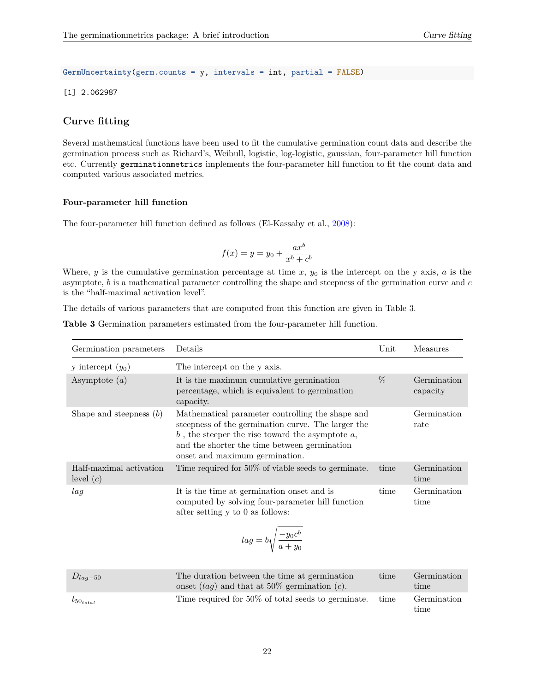**GermUncertainty**(germ.counts = y, intervals = int, partial = FALSE)

[1] 2.062987

# <span id="page-21-0"></span>**Curve fitting**

Several mathematical functions have been used to fit the cumulative germination count data and describe the germination process such as Richard's, Weibull, logistic, log-logistic, gaussian, four-parameter hill function etc. Currently germinationmetrics implements the four-parameter hill function to fit the count data and computed various associated metrics.

#### <span id="page-21-1"></span>**Four-parameter hill function**

The four-parameter hill function defined as follows (El-Kassaby et al., [2008\)](#page-28-19):

$$
f(x) = y = y_0 + \frac{ax^b}{x^b + c^b}
$$

Where,  $y$  is the cumulative germination percentage at time  $x$ ,  $y_0$  is the intercept on the y axis,  $a$  is the asymptote, *b* is a mathematical parameter controlling the shape and steepness of the germination curve and *c* is the "half-maximal activation level".

The details of various parameters that are computed from this function are given in Table 3.

**Table 3** Germination parameters estimated from the four-parameter hill function.

| Germination parameters                 | Details                                                                                                                                                                                                                                           | $\operatorname{Unit}$ | <b>Measures</b>         |
|----------------------------------------|---------------------------------------------------------------------------------------------------------------------------------------------------------------------------------------------------------------------------------------------------|-----------------------|-------------------------|
| y intercept $(y_0)$                    | The intercept on the y axis.                                                                                                                                                                                                                      |                       |                         |
| Asymptote $(a)$                        | It is the maximum cumulative germination<br>percentage, which is equivalent to germination<br>capacity.                                                                                                                                           | $\%$                  | Germination<br>capacity |
| Shape and steepness $(b)$              | Mathematical parameter controlling the shape and<br>steepness of the germination curve. The larger the<br>$b$ , the steeper the rise toward the asymptote $a$ ,<br>and the shorter the time between germination<br>onset and maximum germination. |                       | Germination<br>rate     |
| Half-maximal activation<br>level $(c)$ | Time required for $50\%$ of viable seeds to germinate.                                                                                                                                                                                            | time                  | Germination<br>time     |
| lag                                    | It is the time at germination onset and is<br>computed by solving four-parameter hill function<br>after setting y to 0 as follows:                                                                                                                | time                  | Germination<br>time     |
|                                        | $lag = b \sqrt{\frac{-y_0 c^b}{a + u_0}}$                                                                                                                                                                                                         |                       |                         |

| $D_{lag-50}$     | The duration between the time at germination<br>onset $(lag)$ and that at 50% germination (c). | time | Germination<br>time. |
|------------------|------------------------------------------------------------------------------------------------|------|----------------------|
| $t_{50_{total}}$ | Time required for 50% of total seeds to germinate.                                             | time | Germination<br>time  |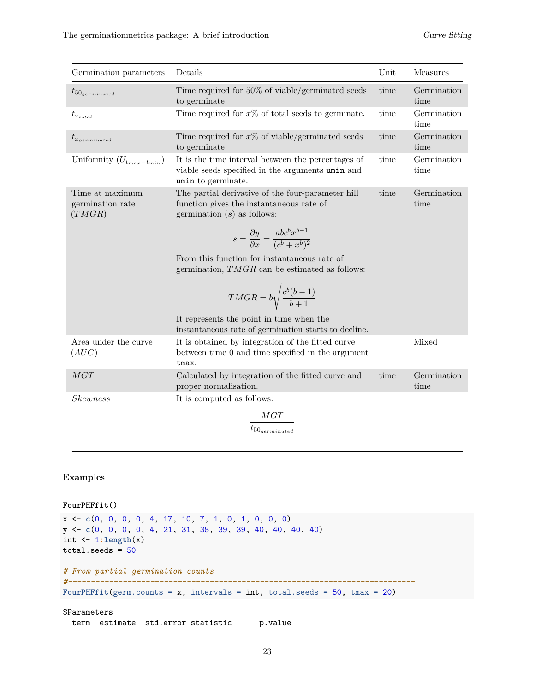| Germination parameters                        | Details                                                                                                                                                                                                     | Unit | Measures            |
|-----------------------------------------------|-------------------------------------------------------------------------------------------------------------------------------------------------------------------------------------------------------------|------|---------------------|
| $t_{50$ <sub>germinated</sub>                 | Time required for 50% of viable/germinated seeds<br>to germinate                                                                                                                                            | time | Germination<br>time |
| $t_{x_{total}}$                               | Time required for $x\%$ of total seeds to germinate.                                                                                                                                                        | time | Germination<br>time |
| $t_{x_{germinated}}$                          | Time required for $x\%$ of viable/germinated seeds<br>to germinate                                                                                                                                          | time | Germination<br>time |
| Uniformity $(U_{t_{max}-t_{min}})$            | It is the time interval between the percentages of<br>viable seeds specified in the arguments umin and<br>umin to germinate.                                                                                | time | Germination<br>time |
| Time at maximum<br>germination rate<br>(TMGR) | The partial derivative of the four-parameter hill<br>function gives the instantaneous rate of<br>germination $(s)$ as follows:<br>$s = \frac{\partial y}{\partial x} = \frac{abc^b x^{b-1}}{(c^b + x^b)^2}$ | time | Germination<br>time |
|                                               | From this function for instantaneous rate of<br>germination, $TMGR$ can be estimated as follows:<br>$T MGR = b \sqrt{\frac{c^b(b-1)}{b+1}}$                                                                 |      |                     |
|                                               | It represents the point in time when the<br>instantaneous rate of germination starts to decline.                                                                                                            |      |                     |
| Area under the curve<br>(AUC)                 | It is obtained by integration of the fitted curve<br>between time 0 and time specified in the argument<br>tmax.                                                                                             |      | Mixed               |
| MGT                                           | Calculated by integration of the fitted curve and<br>proper normalisation.                                                                                                                                  | time | Germination<br>time |
| <i>Skewness</i>                               | It is computed as follows:<br>$\frac{MGT}{t_{50_{germinated}}}$                                                                                                                                             |      |                     |

### **Examples**

```
FourPHFfit()
x <- c(0, 0, 0, 0, 4, 17, 10, 7, 1, 0, 1, 0, 0, 0)
y <- c(0, 0, 0, 0, 4, 21, 31, 38, 39, 39, 40, 40, 40, 40)
int <- 1:length(x)
total.seeds = 50# From partial germination counts
#----------------------------------------------------------------------------
FourPHFfit(germ.counts = x, intervals = int, total.seeds = 50, tmax = 20)
$Parameters
```
term estimate std.error statistic p.value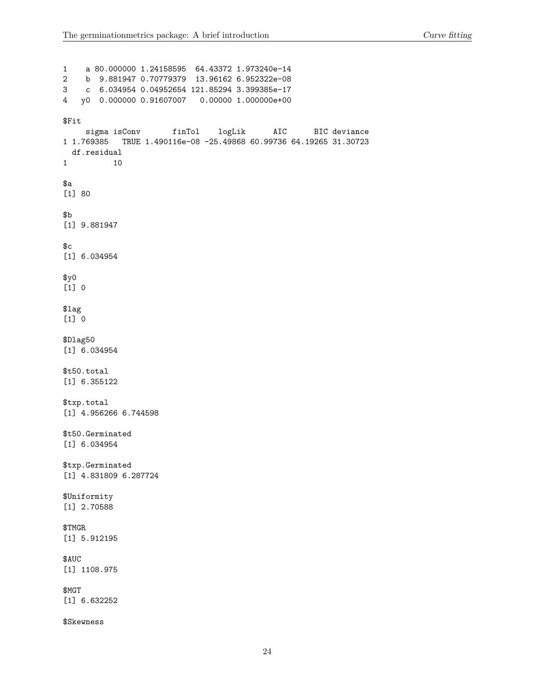1 a 80.000000 1.24158595 64.43372 1.973240e-14 2 b 9.881947 0.70779379 13.96162 6.952322e-08 3 c 6.034954 0.04952654 121.85294 3.399385e-17 4 y0 0.000000 0.91607007 0.00000 1.000000e+00 \$Fit sigma isConv finTol logLik AIC BIC deviance 1 1.769385 TRUE 1.490116e-08 -25.49868 60.99736 64.19265 31.30723 df.residual 1 10 \$a [1] 80  $$<sub>b</sub>$ [1] 9.881947  $C$ [1] 6.034954  $$y0$ [1] 0 \$lag [1] 0 \$Dlag50 [1] 6.034954 \$t50.total [1] 6.355122 \$txp.total [1] 4.956266 6.744598 \$t50.Germinated [1] 6.034954 \$txp.Germinated [1] 4.831809 6.287724 \$Uniformity [1] 2.70588 \$TMGR [1] 5.912195 \$AUC [1] 1108.975 \$MGT [1] 6.632252 \$Skewness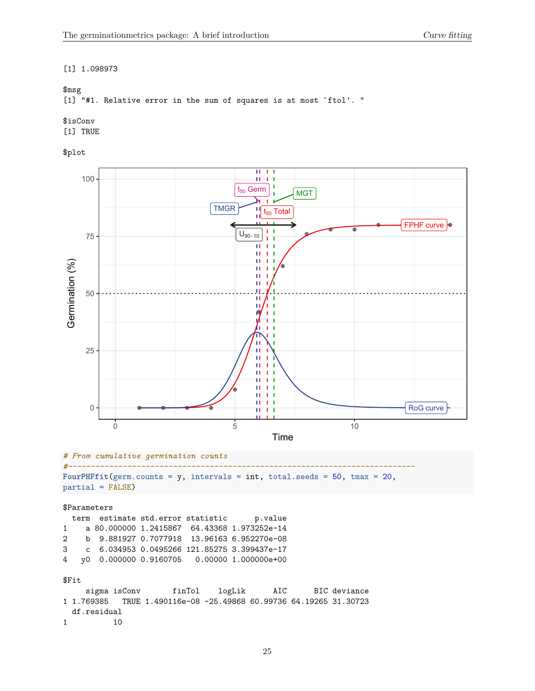#### [1] 1.098973

#### \$msg

[1] "#1. Relative error in the sum of squares is at most `ftol'. "

# \$isConv

[1] TRUE

# \$plot



4 y0 0.000000 0.9160705 0.00000 1.000000e+00

#### \$Fit

```
sigma isConv finTol logLik AIC BIC deviance
1 1.769385 TRUE 1.490116e-08 -25.49868 60.99736 64.19265 31.30723
 df.residual
1 10
```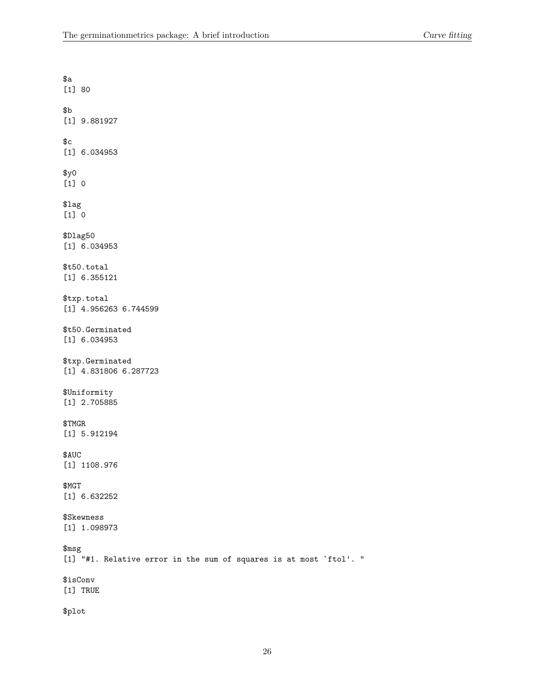| \$a<br>$[1] 80$                                                                         |
|-----------------------------------------------------------------------------------------|
| \$Ъ<br>$[1]$ 9.881927                                                                   |
| \$c<br>$[1]$ 6.034953                                                                   |
| \$y0<br>$[1] 0$                                                                         |
| $\text{\$lag}$<br>$[1] 0$                                                               |
| \$Dlag50<br>$[1]$ 6.034953                                                              |
| \$t50.total<br>$[1]$ 6.355121                                                           |
| \$txp.total<br>$[1]$ 4.956263 6.744599                                                  |
| \$t50.Germinated<br>[1] 6.034953                                                        |
| \$txp.Germinated<br>[1] 4.831806 6.287723                                               |
| \$Uniformity<br>[1] 2.705885                                                            |
| \$TMGR<br>$[1]$ 5.912194                                                                |
| \$AUC<br>[1] 1108.976                                                                   |
| \$MGT<br>$[1]$ 6.632252                                                                 |
| \$Skewness<br>[1] 1.098973                                                              |
| $\mathfrak{Smsg}$<br>[1] "#1. Relative error in the sum of squares is at most `ftol'. " |
| \$isConv<br>[1] TRUE                                                                    |
| \$plot                                                                                  |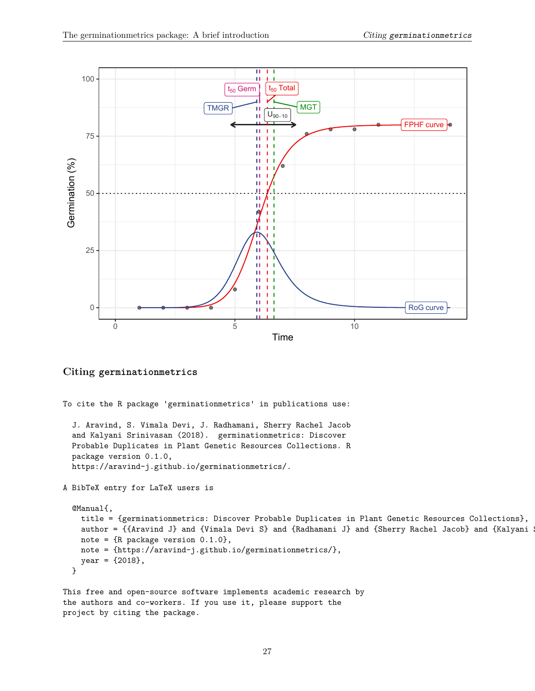

#### <span id="page-26-0"></span>**Citing germinationmetrics**

```
To cite the R package 'germinationmetrics' in publications use:
  J. Aravind, S. Vimala Devi, J. Radhamani, Sherry Rachel Jacob
  and Kalyani Srinivasan (2018). germinationmetrics: Discover
 Probable Duplicates in Plant Genetic Resources Collections. R
  package version 0.1.0,
 https://aravind-j.github.io/germinationmetrics/.
A BibTeX entry for LaTeX users is
  @Manual{,
   title = {germinationmetrics: Discover Probable Duplicates in Plant Genetic Resources Collections},
   author = \{{Aravind J} and \{Vimala Devi S} and \{Radhamani J} and \{Sherry Rachel Jacob} and \{Kalyani
   note = {R} package version 0.1.0,
   note = {https://aravind-j.github.io/germinationmetrics/},
   year = {2018},
 }
```

```
This free and open-source software implements academic research by
the authors and co-workers. If you use it, please support the
project by citing the package.
```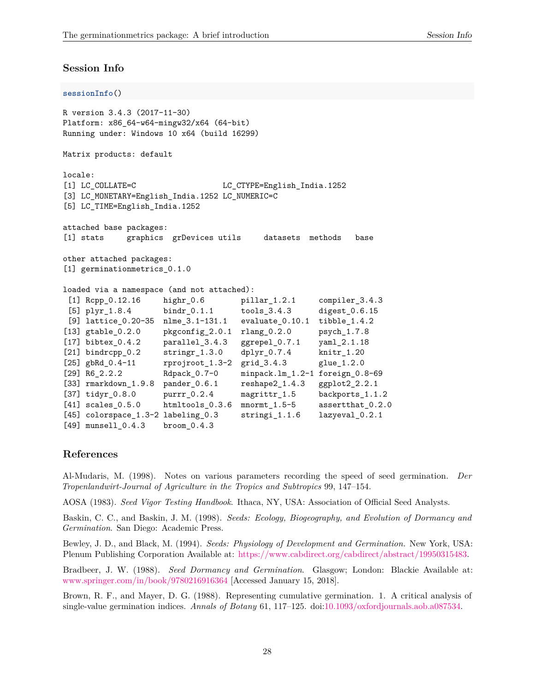### <span id="page-27-0"></span>**Session Info**

```
sessionInfo()
R version 3.4.3 (2017-11-30)
Platform: x86_64-w64-mingw32/x64 (64-bit)
Running under: Windows 10 x64 (build 16299)
Matrix products: default
locale:
[1] LC_COLLATE=C LC_CTYPE=English_India.1252
[3] LC_MONETARY=English_India.1252 LC_NUMERIC=C
[5] LC_TIME=English_India.1252
attached base packages:
[1] stats graphics grDevices utils datasets methods base
other attached packages:
[1] germinationmetrics_0.1.0
loaded via a namespace (and not attached):
 [1] Rcpp_0.12.16 highr_0.6 pillar_1.2.1 compiler_3.4.3
 [5] plyr_1.8.4 bindr_0.1.1 tools_3.4.3 digest_0.6.15
[9] lattice_0.20-35 nlme_3.1-131.1 evaluate_0.10.1 tibble_1.4.2
[13] gtable_0.2.0 pkgconfig_2.0.1 rlang_0.2.0 psych_1.7.8
[17] bibtex_0.4.2 parallel_3.4.3 ggrepel_0.7.1 yaml_2.1.18
[21] bindrcpp_0.2 stringr_1.3.0 dplyr_0.7.4 knitr_1.20
[25] gbRd_0.4-11 rprojroot_1.3-2 grid_3.4.3 glue_1.2.0
[29] R6_2.2.2 Rdpack_0.7-0 minpack.lm_1.2-1 foreign_0.8-69
[33] rmarkdown_1.9.8 pander_0.6.1 reshape2_1.4.3 ggplot2_2.2.1
[37] tidyr_0.8.0 purrr_0.2.4 magrittr_1.5 backports_1.1.2
[41] scales_0.5.0 htmltools_0.3.6 mnormt_1.5-5 assertthat_0.2.0
[45] colorspace_1.3-2 labeling_0.3 stringi_1.1.6 lazyeval_0.2.1
[49] munsell_0.4.3 broom_0.4.3
```
## <span id="page-27-7"></span><span id="page-27-6"></span><span id="page-27-5"></span><span id="page-27-4"></span><span id="page-27-3"></span><span id="page-27-2"></span><span id="page-27-1"></span>**References**

Al-Mudaris, M. (1998). Notes on various parameters recording the speed of seed germination. *Der Tropenlandwirt-Journal of Agriculture in the Tropics and Subtropics* 99, 147–154.

AOSA (1983). *Seed Vigor Testing Handbook*. Ithaca, NY, USA: Association of Official Seed Analysts.

Baskin, C. C., and Baskin, J. M. (1998). *Seeds: Ecology, Biogeography, and Evolution of Dormancy and Germination*. San Diego: Academic Press.

Bewley, J. D., and Black, M. (1994). *Seeds: Physiology of Development and Germination.* New York, USA: Plenum Publishing Corporation Available at: [https://www.cabdirect.org/cabdirect/abstract/19950315483.](https://www.cabdirect.org/cabdirect/abstract/19950315483)

Bradbeer, J. W. (1988). *Seed Dormancy and Germination*. Glasgow; London: Blackie Available at: <www.springer.com/in/book/9780216916364> [Accessed January 15, 2018].

Brown, R. F., and Mayer, D. G. (1988). Representing cumulative germination. 1. A critical analysis of single-value germination indices. *Annals of Botany* 61, 117–125. doi[:10.1093/oxfordjournals.aob.a087534.](https://doi.org/10.1093/oxfordjournals.aob.a087534)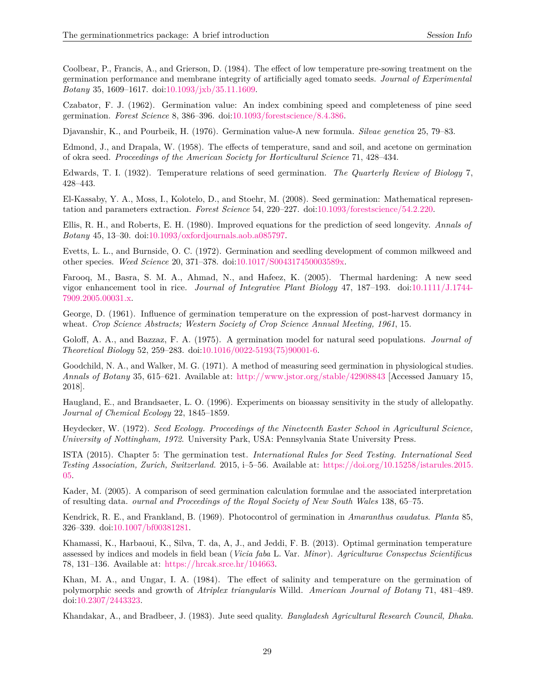<span id="page-28-17"></span><span id="page-28-8"></span><span id="page-28-7"></span><span id="page-28-5"></span><span id="page-28-2"></span><span id="page-28-1"></span>Coolbear, P., Francis, A., and Grierson, D. (1984). The effect of low temperature pre-sowing treatment on the germination performance and membrane integrity of artificially aged tomato seeds. *Journal of Experimental Botany* 35, 1609–1617. doi[:10.1093/jxb/35.11.1609.](https://doi.org/10.1093/jxb/35.11.1609)

<span id="page-28-12"></span>Czabator, F. J. (1962). Germination value: An index combining speed and completeness of pine seed germination. *Forest Science* 8, 386–396. doi[:10.1093/forestscience/8.4.386.](https://doi.org/10.1093/forestscience/8.4.386)

<span id="page-28-6"></span>Djavanshir, K., and Pourbeik, H. (1976). Germination value-A new formula. *Silvae genetica* 25, 79–83.

Edmond, J., and Drapala, W. (1958). The effects of temperature, sand and soil, and acetone on germination of okra seed. *Proceedings of the American Society for Horticultural Science* 71, 428–434.

<span id="page-28-16"></span>Edwards, T. I. (1932). Temperature relations of seed germination. *The Quarterly Review of Biology* 7, 428–443.

<span id="page-28-19"></span><span id="page-28-3"></span>El-Kassaby, Y. A., Moss, I., Kolotelo, D., and Stoehr, M. (2008). Seed germination: Mathematical representation and parameters extraction. *Forest Science* 54, 220–227. doi[:10.1093/forestscience/54.2.220.](https://doi.org/10.1093/forestscience/54.2.220)

<span id="page-28-14"></span>Ellis, R. H., and Roberts, E. H. (1980). Improved equations for the prediction of seed longevity. *Annals of Botany* 45, 13–30. doi[:10.1093/oxfordjournals.aob.a085797.](https://doi.org/10.1093/oxfordjournals.aob.a085797)

<span id="page-28-11"></span>Evetts, L. L., and Burnside, O. C. (1972). Germination and seedling development of common milkweed and other species. *Weed Science* 20, 371–378. doi[:10.1017/S004317450003589x.](https://doi.org/10.1017/S004317450003589x)

<span id="page-28-18"></span>Farooq, M., Basra, S. M. A., Ahmad, N., and Hafeez, K. (2005). Thermal hardening: A new seed vigor enhancement tool in rice. *Journal of Integrative Plant Biology* 47, 187–193. doi[:10.1111/J.1744-](https://doi.org/10.1111/J.1744-7909.2005.00031.x) [7909.2005.00031.x.](https://doi.org/10.1111/J.1744-7909.2005.00031.x)

<span id="page-28-0"></span>George, D. (1961). Influence of germination temperature on the expression of post-harvest dormancy in wheat. *Crop Science Abstracts; Western Society of Crop Science Annual Meeting, 1961*, 15.

<span id="page-28-4"></span>Goloff, A. A., and Bazzaz, F. A. (1975). A germination model for natural seed populations. *Journal of Theoretical Biology* 52, 259–283. doi[:10.1016/0022-5193\(75\)90001-6.](https://doi.org/10.1016/0022-5193(75)90001-6)

<span id="page-28-9"></span>Goodchild, N. A., and Walker, M. G. (1971). A method of measuring seed germination in physiological studies. *Annals of Botany* 35, 615–621. Available at: <http://www.jstor.org/stable/42908843> [Accessed January 15, 2018].

<span id="page-28-13"></span>Haugland, E., and Brandsaeter, L. O. (1996). Experiments on bioassay sensitivity in the study of allelopathy. *Journal of Chemical Ecology* 22, 1845–1859.

<span id="page-28-15"></span>Heydecker, W. (1972). *Seed Ecology. Proceedings of the Nineteenth Easter School in Agricultural Science, University of Nottingham, 1972*. University Park, USA: Pennsylvania State University Press.

<span id="page-28-10"></span>ISTA (2015). Chapter 5: The germination test. *International Rules for Seed Testing. International Seed Testing Association, Zurich, Switzerland.* 2015, i–5–56. Available at: [https://doi.org/10.15258/istarules.2015.](https://doi.org/10.15258/istarules.2015.05) [05.](https://doi.org/10.15258/istarules.2015.05)

Kader, M. (2005). A comparison of seed germination calculation formulae and the associated interpretation of resulting data. *ournal and Proceedings of the Royal Society of New South Wales* 138, 65–75.

Kendrick, R. E., and Frankland, B. (1969). Photocontrol of germination in *Amaranthus caudatus*. *Planta* 85, 326–339. doi[:10.1007/bf00381281.](https://doi.org/10.1007/bf00381281)

Khamassi, K., Harbaoui, K., Silva, T. da, A, J., and Jeddi, F. B. (2013). Optimal germination temperature assessed by indices and models in field bean (*Vicia faba* L. Var. *Minor*). *Agriculturae Conspectus Scientificus* 78, 131–136. Available at: [https://hrcak.srce.hr/104663.](https://hrcak.srce.hr/104663)

Khan, M. A., and Ungar, I. A. (1984). The effect of salinity and temperature on the germination of polymorphic seeds and growth of *Atriplex triangularis* Willd. *American Journal of Botany* 71, 481–489. doi[:10.2307/2443323.](https://doi.org/10.2307/2443323)

Khandakar, A., and Bradbeer, J. (1983). Jute seed quality. *Bangladesh Agricultural Research Council, Dhaka*.